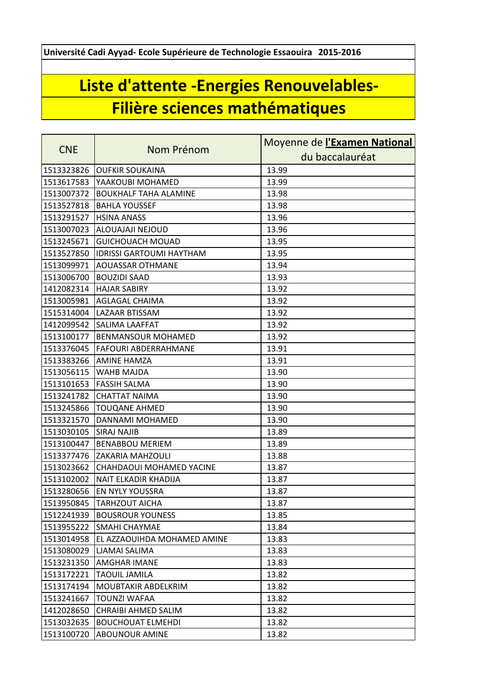**Université Cadi Ayyad- Ecole Supérieure de Technologie Essaouira 2015-2016**

## **Liste d'attente -Energies Renouvelables-Filière sciences mathématiques**

|            |                                 | Moyenne de <i>l'Examen National</i> |
|------------|---------------------------------|-------------------------------------|
| <b>CNE</b> | Nom Prénom                      | du baccalauréat                     |
| 1513323826 | <b>OUFKIR SOUKAINA</b>          | 13.99                               |
| 1513617583 | YAAKOUBI MOHAMED                | 13.99                               |
| 1513007372 | <b>BOUKHALF TAHA ALAMINE</b>    | 13.98                               |
| 1513527818 | <b>BAHLA YOUSSEF</b>            | 13.98                               |
| 1513291527 | <b>HSINA ANASS</b>              | 13.96                               |
| 1513007023 | ALOUAJAJI NEJOUD                | 13.96                               |
| 1513245671 | <b>GUICHOUACH MOUAD</b>         | 13.95                               |
| 1513527850 | <b>IDRISSI GARTOUMI HAYTHAM</b> | 13.95                               |
| 1513099971 | <b>AOUASSAR OTHMANE</b>         | 13.94                               |
| 1513006700 | <b>BOUZIDI SAAD</b>             | 13.93                               |
| 1412082314 | <b>HAJAR SABIRY</b>             | 13.92                               |
| 1513005981 | <b>AGLAGAL CHAIMA</b>           | 13.92                               |
| 1515314004 | LAZAAR BTISSAM                  | 13.92                               |
| 1412099542 | <b>SALIMA LAAFFAT</b>           | 13.92                               |
| 1513100177 | <b>BENMANSOUR MOHAMED</b>       | 13.92                               |
| 1513376045 | <b>FAFOURI ABDERRAHMANE</b>     | 13.91                               |
| 1513383266 | <b>AMINE HAMZA</b>              | 13.91                               |
| 1513056115 | WAHB MAJDA                      | 13.90                               |
| 1513101653 | <b>FASSIH SALMA</b>             | 13.90                               |
| 1513241782 | <b>CHATTAT NAIMA</b>            | 13.90                               |
| 1513245866 | <b>TOUQANE AHMED</b>            | 13.90                               |
| 1513321570 | DANNAMI MOHAMED                 | 13.90                               |
| 1513030105 | <b>SIRAJ NAJIB</b>              | 13.89                               |
| 1513100447 | <b>BENABBOU MERIEM</b>          | 13.89                               |
| 1513377476 | ZAKARIA MAHZOULI                | 13.88                               |
| 1513023662 | CHAHDAOUI MOHAMED YACINE        | 13.87                               |
| 1513102002 | <b>NAIT ELKADIR KHADIJA</b>     | 13.87                               |
| 1513280656 | <b>EN NYLY YOUSSRA</b>          | 13.87                               |
| 1513950845 | <b>TARHZOUT AICHA</b>           | 13.87                               |
| 1512241939 | <b>BOUSROUR YOUNESS</b>         | 13.85                               |
| 1513955222 | <b>SMAHI CHAYMAE</b>            | 13.84                               |
| 1513014958 | EL AZZAOUIHDA MOHAMED AMINE     | 13.83                               |
| 1513080029 | LJAMAI SALIMA                   | 13.83                               |
| 1513231350 | <b>AMGHAR IMANE</b>             | 13.83                               |
| 1513172221 | <b>TAOUIL JAMILA</b>            | 13.82                               |
| 1513174194 | <b>MOUBTAKIR ABDELKRIM</b>      | 13.82                               |
| 1513241667 | TOUNZI WAFAA                    | 13.82                               |
| 1412028650 | CHRAIBI AHMED SALIM             | 13.82                               |
| 1513032635 | <b>BOUCHOUAT ELMEHDI</b>        | 13.82                               |
| 1513100720 | <b>ABOUNOUR AMINE</b>           | 13.82                               |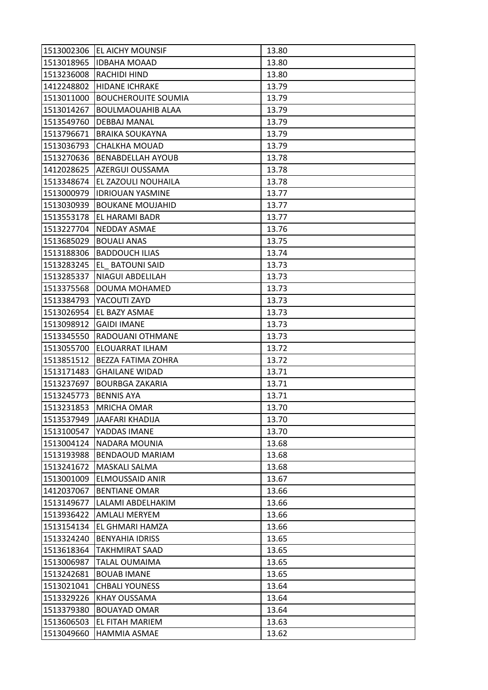| 1513002306 | EL AICHY MOUNSIF           | 13.80 |
|------------|----------------------------|-------|
| 1513018965 | <b>IDBAHA MOAAD</b>        | 13.80 |
| 1513236008 | RACHIDI HIND               | 13.80 |
| 1412248802 | <b>HIDANE ICHRAKE</b>      | 13.79 |
| 1513011000 | <b>BOUCHEROUITE SOUMIA</b> | 13.79 |
| 1513014267 | <b>BOULMAOUAHIB ALAA</b>   | 13.79 |
| 1513549760 | <b>DEBBAJ MANAL</b>        | 13.79 |
| 1513796671 | <b>BRAIKA SOUKAYNA</b>     | 13.79 |
| 1513036793 | <b>CHALKHA MOUAD</b>       | 13.79 |
| 1513270636 | <b>BENABDELLAH AYOUB</b>   | 13.78 |
| 1412028625 | AZERGUI OUSSAMA            | 13.78 |
| 1513348674 | EL ZAZOULI NOUHAILA        | 13.78 |
| 1513000979 | <b>IDRIOUAN YASMINE</b>    | 13.77 |
| 1513030939 | <b>BOUKANE MOUJAHID</b>    | 13.77 |
| 1513553178 | EL HARAMI BADR             | 13.77 |
| 1513227704 | <b>NEDDAY ASMAE</b>        | 13.76 |
| 1513685029 | <b>BOUALI ANAS</b>         | 13.75 |
| 1513188306 | <b>BADDOUCH ILIAS</b>      | 13.74 |
| 1513283245 | EL BATOUNI SAID            | 13.73 |
| 1513285337 | NIAGUI ABDELILAH           | 13.73 |
| 1513375568 | DOUMA MOHAMED              | 13.73 |
| 1513384793 | YACOUTI ZAYD               | 13.73 |
| 1513026954 | EL BAZY ASMAE              | 13.73 |
| 1513098912 | <b>GAIDI IMANE</b>         | 13.73 |
| 1513345550 | RADOUANI OTHMANE           | 13.73 |
| 1513055700 | ELOUARRAT ILHAM            | 13.72 |
| 1513851512 | BEZZA FATIMA ZOHRA         | 13.72 |
| 1513171483 | <b>GHAILANE WIDAD</b>      | 13.71 |
| 1513237697 | <b>BOURBGA ZAKARIA</b>     | 13.71 |
| 1513245773 | <b>BENNIS AYA</b>          | 13.71 |
| 1513231853 | <b>MRICHA OMAR</b>         | 13.70 |
| 1513537949 | JAAFARI KHADIJA            | 13.70 |
| 1513100547 | YADDAS IMANE               | 13.70 |
| 1513004124 | NADARA MOUNIA              | 13.68 |
| 1513193988 | <b>BENDAOUD MARIAM</b>     | 13.68 |
| 1513241672 | MASKALI SALMA              | 13.68 |
| 1513001009 | <b>ELMOUSSAID ANIR</b>     | 13.67 |
| 1412037067 | <b>BENTIANE OMAR</b>       | 13.66 |
| 1513149677 | LALAMI ABDELHAKIM          | 13.66 |
| 1513936422 | <b>AMLALI MERYEM</b>       | 13.66 |
| 1513154134 | EL GHMARI HAMZA            | 13.66 |
| 1513324240 | <b>BENYAHIA IDRISS</b>     | 13.65 |
| 1513618364 | <b>TAKHMIRAT SAAD</b>      | 13.65 |
| 1513006987 | TALAL OUMAIMA              | 13.65 |
| 1513242681 | <b>BOUAB IMANE</b>         | 13.65 |
| 1513021041 | <b>CHBALI YOUNESS</b>      | 13.64 |
| 1513329226 | <b>KHAY OUSSAMA</b>        | 13.64 |
| 1513379380 | <b>BOUAYAD OMAR</b>        | 13.64 |
| 1513606503 | EL FITAH MARIEM            | 13.63 |
| 1513049660 | HAMMIA ASMAE               | 13.62 |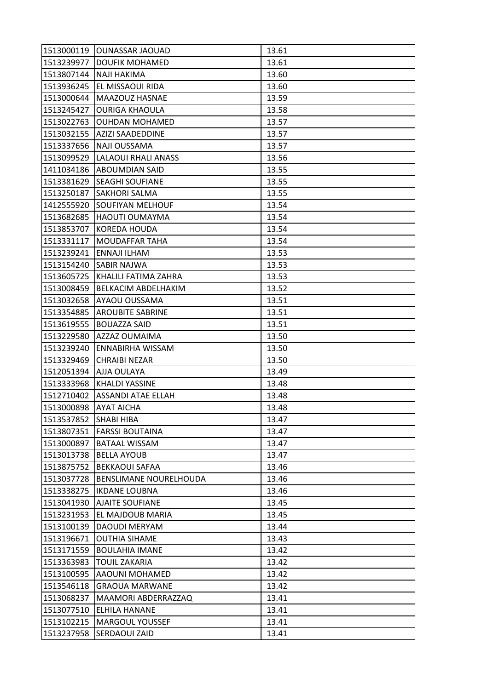| 1513000119 | <b>OUNASSAR JAOUAD</b>        | 13.61 |
|------------|-------------------------------|-------|
| 1513239977 | <b>DOUFIK MOHAMED</b>         | 13.61 |
| 1513807144 | <b>NAJI HAKIMA</b>            | 13.60 |
| 1513936245 | EL MISSAOUI RIDA              | 13.60 |
| 1513000644 | MAAZOUZ HASNAE                | 13.59 |
| 1513245427 | <b>OURIGA KHAOULA</b>         | 13.58 |
| 1513022763 | <b>OUHDAN MOHAMED</b>         | 13.57 |
| 1513032155 | AZIZI SAADEDDINE              | 13.57 |
| 1513337656 | NAJI OUSSAMA                  | 13.57 |
| 1513099529 | <b>LALAOUI RHALI ANASS</b>    | 13.56 |
| 1411034186 | <b>ABOUMDIAN SAID</b>         | 13.55 |
| 1513381629 | <b>SEAGHI SOUFIANE</b>        | 13.55 |
| 1513250187 | <b>SAKHORI SALMA</b>          | 13.55 |
| 1412555920 | <b>SOUFIYAN MELHOUF</b>       | 13.54 |
| 1513682685 | <b>HAOUTI OUMAYMA</b>         | 13.54 |
| 1513853707 | <b>KOREDA HOUDA</b>           | 13.54 |
| 1513331117 | <b>MOUDAFFAR TAHA</b>         | 13.54 |
| 1513239241 | ENNAJI ILHAM                  | 13.53 |
| 1513154240 | <b>SABIR NAJWA</b>            | 13.53 |
| 1513605725 | KHALILI FATIMA ZAHRA          | 13.53 |
| 1513008459 | BELKACIM ABDELHAKIM           | 13.52 |
| 1513032658 | AYAOU OUSSAMA                 | 13.51 |
| 1513354885 | <b>AROUBITE SABRINE</b>       | 13.51 |
| 1513619555 | <b>BOUAZZA SAID</b>           | 13.51 |
| 1513229580 | AZZAZ OUMAIMA                 | 13.50 |
| 1513239240 | <b>ENNABIRHA WISSAM</b>       | 13.50 |
| 1513329469 | <b>CHRAIBI NEZAR</b>          | 13.50 |
| 1512051394 | AJJA OULAYA                   | 13.49 |
| 1513333968 | <b>KHALDI YASSINE</b>         | 13.48 |
| 1512710402 | <b>ASSANDI ATAE ELLAH</b>     | 13.48 |
| 1513000898 | <b>AYAT AICHA</b>             | 13.48 |
| 1513537852 | <b>SHABI HIBA</b>             | 13.47 |
| 1513807351 | <b>FARSSI BOUTAINA</b>        | 13.47 |
| 1513000897 | <b>BATAAL WISSAM</b>          | 13.47 |
| 1513013738 | <b>BELLA AYOUB</b>            | 13.47 |
| 1513875752 | <b>BEKKAOUI SAFAA</b>         | 13.46 |
| 1513037728 | <b>BENSLIMANE NOURELHOUDA</b> | 13.46 |
| 1513338275 | <b>IKDANE LOUBNA</b>          | 13.46 |
| 1513041930 | <b>AJAITE SOUFIANE</b>        | 13.45 |
| 1513231953 | EL MAJDOUB MARIA              | 13.45 |
| 1513100139 | <b>DAOUDI MERYAM</b>          | 13.44 |
| 1513196671 | <b>OUTHIA SIHAME</b>          | 13.43 |
| 1513171559 | <b>BOULAHIA IMANE</b>         | 13.42 |
| 1513363983 | <b>TOUIL ZAKARIA</b>          | 13.42 |
| 1513100595 | AAOUNI MOHAMED                | 13.42 |
| 1513546118 | <b>GRAOUA MARWANE</b>         | 13.42 |
| 1513068237 | MAAMORI ABDERRAZZAQ           | 13.41 |
| 1513077510 | <b>ELHILA HANANE</b>          | 13.41 |
| 1513102215 | <b>MARGOUL YOUSSEF</b>        | 13.41 |
| 1513237958 | SERDAOUI ZAID                 | 13.41 |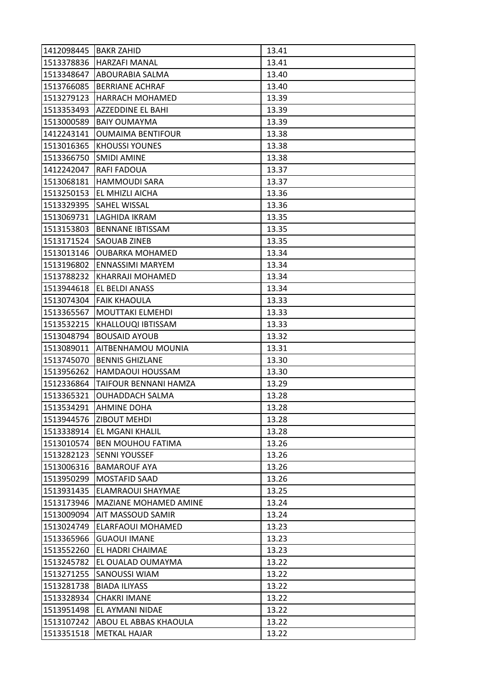| 1412098445 | <b>BAKR ZAHID</b>            | 13.41 |
|------------|------------------------------|-------|
| 1513378836 | <b>HARZAFI MANAL</b>         | 13.41 |
| 1513348647 | ABOURABIA SALMA              | 13.40 |
| 1513766085 | <b>BERRIANE ACHRAF</b>       | 13.40 |
| 1513279123 | <b>HARRACH MOHAMED</b>       | 13.39 |
| 1513353493 | AZZEDDINE EL BAHI            | 13.39 |
| 1513000589 | <b>BAIY OUMAYMA</b>          | 13.39 |
| 1412243141 | <b>OUMAIMA BENTIFOUR</b>     | 13.38 |
| 1513016365 | <b>KHOUSSI YOUNES</b>        | 13.38 |
| 1513366750 | <b>SMIDI AMINE</b>           | 13.38 |
| 1412242047 | <b>RAFI FADOUA</b>           | 13.37 |
| 1513068181 | <b>HAMMOUDI SARA</b>         | 13.37 |
| 1513250153 | EL MHIZLI AICHA              | 13.36 |
| 1513329395 | <b>SAHEL WISSAL</b>          | 13.36 |
| 1513069731 | LAGHIDA IKRAM                | 13.35 |
| 1513153803 | <b>BENNANE IBTISSAM</b>      | 13.35 |
| 1513171524 | <b>SAOUAB ZINEB</b>          | 13.35 |
| 1513013146 | <b>OUBARKA MOHAMED</b>       | 13.34 |
| 1513196802 | <b>ENNASSIMI MARYEM</b>      | 13.34 |
| 1513788232 | KHARRAJI MOHAMED             | 13.34 |
| 1513944618 | EL BELDI ANASS               | 13.34 |
| 1513074304 | <b>FAIK KHAOULA</b>          | 13.33 |
| 1513365567 | <b>MOUTTAKI ELMEHDI</b>      | 13.33 |
| 1513532215 | KHALLOUQI IBTISSAM           | 13.33 |
| 1513048794 | <b>BOUSAID AYOUB</b>         | 13.32 |
| 1513089011 | AITBENHAMOU MOUNIA           | 13.31 |
| 1513745070 | <b>BENNIS GHIZLANE</b>       | 13.30 |
| 1513956262 | HAMDAOUI HOUSSAM             | 13.30 |
| 1512336864 | TAIFOUR BENNANI HAMZA        | 13.29 |
| 1513365321 | <b>OUHADDACH SALMA</b>       | 13.28 |
| 1513534291 | <b>AHMINE DOHA</b>           | 13.28 |
| 1513944576 | <b>ZIBOUT MEHDI</b>          | 13.28 |
| 1513338914 | <b>EL MGANI KHALIL</b>       | 13.28 |
| 1513010574 | <b>BEN MOUHOU FATIMA</b>     | 13.26 |
| 1513282123 | <b>SENNI YOUSSEF</b>         | 13.26 |
| 1513006316 | <b>BAMAROUF AYA</b>          | 13.26 |
| 1513950299 | <b>MOSTAFID SAAD</b>         | 13.26 |
| 1513931435 | <b>ELAMRAOUI SHAYMAE</b>     | 13.25 |
| 1513173946 | <b>MAZIANE MOHAMED AMINE</b> | 13.24 |
| 1513009094 | <b>AIT MASSOUD SAMIR</b>     | 13.24 |
| 1513024749 | <b>ELARFAOUI MOHAMED</b>     | 13.23 |
| 1513365966 | <b>GUAOUI IMANE</b>          | 13.23 |
| 1513552260 | <b>EL HADRI CHAIMAE</b>      | 13.23 |
| 1513245782 | EL OUALAD OUMAYMA            | 13.22 |
| 1513271255 | <b>SANOUSSI WIAM</b>         | 13.22 |
| 1513281738 | <b>BIADA ILIYASS</b>         | 13.22 |
| 1513328934 | <b>CHAKRI IMANE</b>          | 13.22 |
| 1513951498 | EL AYMANI NIDAE              | 13.22 |
| 1513107242 | ABOU EL ABBAS KHAOULA        | 13.22 |
| 1513351518 | <b>METKAL HAJAR</b>          | 13.22 |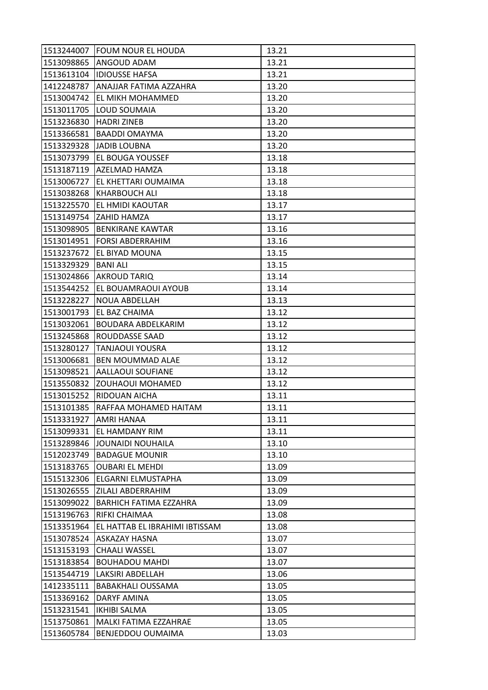| 1513244007 | <b>FOUM NOUR EL HOUDA</b>      | 13.21 |
|------------|--------------------------------|-------|
| 1513098865 | ANGOUD ADAM                    | 13.21 |
| 1513613104 | <b>IDIOUSSE HAFSA</b>          | 13.21 |
| 1412248787 | ANAJJAR FATIMA AZZAHRA         | 13.20 |
| 1513004742 | EL MIKH MOHAMMED               | 13.20 |
| 1513011705 | LOUD SOUMAIA                   | 13.20 |
| 1513236830 | <b>HADRI ZINEB</b>             | 13.20 |
| 1513366581 | <b>BAADDI OMAYMA</b>           | 13.20 |
| 1513329328 | <b>JADIB LOUBNA</b>            | 13.20 |
| 1513073799 | EL BOUGA YOUSSEF               | 13.18 |
| 1513187119 | AZELMAD HAMZA                  | 13.18 |
| 1513006727 | EL KHETTARI OUMAIMA            | 13.18 |
| 1513038268 | KHARBOUCH ALI                  | 13.18 |
| 1513225570 | EL HMIDI KAOUTAR               | 13.17 |
| 1513149754 | ZAHID HAMZA                    | 13.17 |
| 1513098905 | <b>BENKIRANE KAWTAR</b>        | 13.16 |
| 1513014951 | <b>FORSI ABDERRAHIM</b>        | 13.16 |
| 1513237672 | EL BIYAD MOUNA                 | 13.15 |
| 1513329329 | <b>BANI ALI</b>                | 13.15 |
| 1513024866 | <b>AKROUD TARIQ</b>            | 13.14 |
| 1513544252 | EL BOUAMRAOUI AYOUB            | 13.14 |
| 1513228227 | <b>NOUA ABDELLAH</b>           | 13.13 |
| 1513001793 | EL BAZ CHAIMA                  | 13.12 |
| 1513032061 | BOUDARA ABDELKARIM             | 13.12 |
| 1513245868 | ROUDDASSE SAAD                 | 13.12 |
| 1513280127 | <b>TANJAOUI YOUSRA</b>         | 13.12 |
| 1513006681 | BEN MOUMMAD ALAE               | 13.12 |
| 1513098521 | <b>AALLAOUI SOUFIANE</b>       | 13.12 |
| 1513550832 | ZOUHAOUI MOHAMED               | 13.12 |
| 1513015252 | RIDOUAN AICHA                  | 13.11 |
| 1513101385 | RAFFAA MOHAMED HAITAM          | 13.11 |
| 1513331927 | <b>AMRI HANAA</b>              | 13.11 |
| 1513099331 | <b>EL HAMDANY RIM</b>          | 13.11 |
| 1513289846 | JOUNAIDI NOUHAILA              | 13.10 |
| 1512023749 | <b>BADAGUE MOUNIR</b>          | 13.10 |
| 1513183765 | <b>OUBARI EL MEHDI</b>         | 13.09 |
| 1515132306 | ELGARNI ELMUSTAPHA             | 13.09 |
| 1513026555 | ZILALI ABDERRAHIM              | 13.09 |
| 1513099022 | BARHICH FATIMA EZZAHRA         | 13.09 |
| 1513196763 | RIFKI CHAIMAA                  | 13.08 |
| 1513351964 | EL HATTAB EL IBRAHIMI IBTISSAM | 13.08 |
| 1513078524 | ASKAZAY HASNA                  | 13.07 |
| 1513153193 | <b>CHAALI WASSEL</b>           | 13.07 |
| 1513183854 | BOUHADOU MAHDI                 | 13.07 |
| 1513544719 | LAKSIRI ABDELLAH               | 13.06 |
| 1412335111 | <b>BABAKHALI OUSSAMA</b>       | 13.05 |
| 1513369162 | DARYF AMINA                    | 13.05 |
| 1513231541 | <b>IKHIBI SALMA</b>            | 13.05 |
| 1513750861 | MALKI FATIMA EZZAHRAE          | 13.05 |
| 1513605784 | BENJEDDOU OUMAIMA              | 13.03 |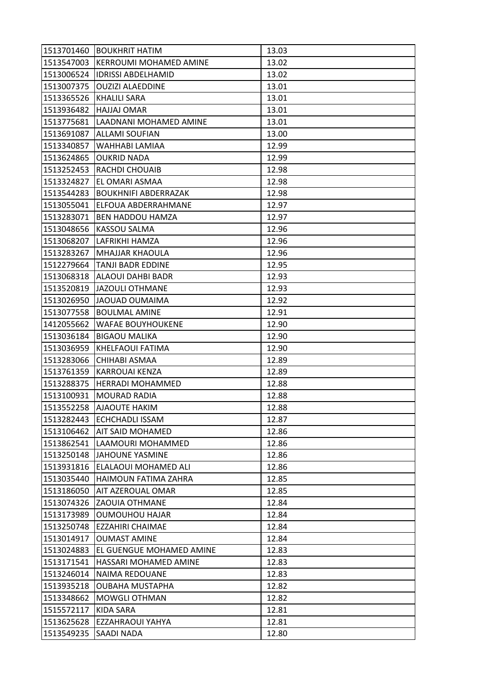| 1513701460 | <b>BOUKHRIT HATIM</b>         | 13.03 |
|------------|-------------------------------|-------|
| 1513547003 | <b>KERROUMI MOHAMED AMINE</b> | 13.02 |
| 1513006524 | <b>IDRISSI ABDELHAMID</b>     | 13.02 |
| 1513007375 | <b>OUZIZI ALAEDDINE</b>       | 13.01 |
| 1513365526 | <b>KHALILI SARA</b>           | 13.01 |
| 1513936482 | HAJJAJ OMAR                   | 13.01 |
| 1513775681 | LAADNANI MOHAMED AMINE        | 13.01 |
| 1513691087 | <b>ALLAMI SOUFIAN</b>         | 13.00 |
| 1513340857 | WAHHABI LAMIAA                | 12.99 |
| 1513624865 | <b>OUKRID NADA</b>            | 12.99 |
| 1513252453 | <b>RACHDI CHOUAIB</b>         | 12.98 |
| 1513324827 | EL OMARI ASMAA                | 12.98 |
| 1513544283 | <b>BOUKHNIFI ABDERRAZAK</b>   | 12.98 |
| 1513055041 | ELFOUA ABDERRAHMANE           | 12.97 |
| 1513283071 | <b>BEN HADDOU HAMZA</b>       | 12.97 |
| 1513048656 | KASSOU SALMA                  | 12.96 |
| 1513068207 | LAFRIKHI HAMZA                | 12.96 |
| 1513283267 | <b>MHAJJAR KHAOULA</b>        | 12.96 |
| 1512279664 | <b>TANJI BADR EDDINE</b>      | 12.95 |
| 1513068318 | ALAOUI DAHBI BADR             | 12.93 |
| 1513520819 | <b>JAZOULI OTHMANE</b>        | 12.93 |
| 1513026950 | <b>JAOUAD OUMAIMA</b>         | 12.92 |
| 1513077558 | <b>BOULMAL AMINE</b>          | 12.91 |
| 1412055662 | WAFAE BOUYHOUKENE             | 12.90 |
| 1513036184 | <b>BIGAOU MALIKA</b>          | 12.90 |
| 1513036959 | KHELFAOUI FATIMA              | 12.90 |
| 1513283066 | CHIHABI ASMAA                 | 12.89 |
| 1513761359 | <b>KARROUAI KENZA</b>         | 12.89 |
| 1513288375 | <b>HERRADI MOHAMMED</b>       | 12.88 |
| 1513100931 | <b>MOURAD RADIA</b>           | 12.88 |
| 1513552258 | <b>AJAOUTE HAKIM</b>          | 12.88 |
| 1513282443 | <b>ECHCHADLI ISSAM</b>        | 12.87 |
| 1513106462 | <b>AIT SAID MOHAMED</b>       | 12.86 |
| 1513862541 | LAAMOURI MOHAMMED             | 12.86 |
| 1513250148 | <b>JAHOUNE YASMINE</b>        | 12.86 |
| 1513931816 | ELALAOUI MOHAMED ALI          | 12.86 |
| 1513035440 | HAIMOUN FATIMA ZAHRA          | 12.85 |
| 1513186050 | AIT AZEROUAL OMAR             | 12.85 |
| 1513074326 | <b>ZAOUIA OTHMANE</b>         | 12.84 |
| 1513173989 | <b>OUMOUHOU HAJAR</b>         | 12.84 |
| 1513250748 | EZZAHIRI CHAIMAE              | 12.84 |
| 1513014917 | <b>OUMAST AMINE</b>           | 12.84 |
| 1513024883 | EL GUENGUE MOHAMED AMINE      | 12.83 |
| 1513171541 | HASSARI MOHAMED AMINE         | 12.83 |
| 1513246014 | <b>NAIMA REDOUANE</b>         | 12.83 |
| 1513935218 | <b>OUBAHA MUSTAPHA</b>        | 12.82 |
| 1513348662 | <b>MOWGLI OTHMAN</b>          | 12.82 |
| 1515572117 | KIDA SARA                     | 12.81 |
| 1513625628 | EZZAHRAOUI YAHYA              | 12.81 |
| 1513549235 | SAADI NADA                    | 12.80 |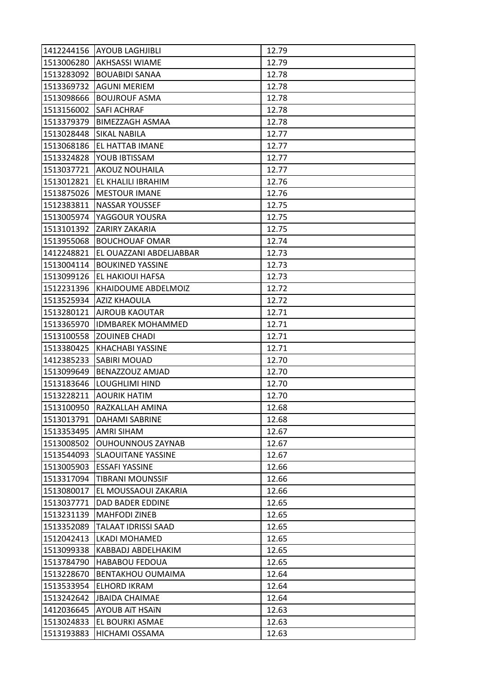| 1412244156 | <b>AYOUB LAGHJIBLI</b>    | 12.79 |
|------------|---------------------------|-------|
| 1513006280 | <b>AKHSASSI WIAME</b>     | 12.79 |
| 1513283092 | <b>BOUABIDI SANAA</b>     | 12.78 |
| 1513369732 | <b>AGUNI MERIEM</b>       | 12.78 |
| 1513098666 | <b>BOUJROUF ASMA</b>      | 12.78 |
| 1513156002 | <b>SAFI ACHRAF</b>        | 12.78 |
| 1513379379 | <b>BIMEZZAGH ASMAA</b>    | 12.78 |
| 1513028448 | <b>SIKAL NABILA</b>       | 12.77 |
| 1513068186 | EL HATTAB IMANE           | 12.77 |
| 1513324828 | YOUB IBTISSAM             | 12.77 |
| 1513037721 | <b>AKOUZ NOUHAILA</b>     | 12.77 |
| 1513012821 | EL KHALILI IBRAHIM        | 12.76 |
| 1513875026 | <b>MESTOUR IMANE</b>      | 12.76 |
| 1512383811 | NASSAR YOUSSEF            | 12.75 |
| 1513005974 | YAGGOUR YOUSRA            | 12.75 |
| 1513101392 | <b>ZARIRY ZAKARIA</b>     | 12.75 |
| 1513955068 | <b>BOUCHOUAF OMAR</b>     | 12.74 |
| 1412248821 | EL OUAZZANI ABDELJABBAR   | 12.73 |
| 1513004114 | <b>BOUKINED YASSINE</b>   | 12.73 |
| 1513099126 | EL HAKIOUI HAFSA          | 12.73 |
| 1512231396 | KHAIDOUME ABDELMOIZ       | 12.72 |
| 1513525934 | <b>AZIZ KHAOULA</b>       | 12.72 |
| 1513280121 | AJROUB KAOUTAR            | 12.71 |
| 1513365970 | <b>IDMBAREK MOHAMMED</b>  | 12.71 |
| 1513100558 | <b>ZOUINEB CHADI</b>      | 12.71 |
| 1513380425 | <b>KHACHABI YASSINE</b>   | 12.71 |
| 1412385233 | <b>SABIRI MOUAD</b>       | 12.70 |
| 1513099649 | BENAZZOUZ AMJAD           | 12.70 |
| 1513183646 | <b>LOUGHLIMI HIND</b>     | 12.70 |
| 1513228211 | <b>AOURIK HATIM</b>       | 12.70 |
| 1513100950 | RAZKALLAH AMINA           | 12.68 |
| 1513013791 | <b>DAHAMI SABRINE</b>     | 12.68 |
| 1513353495 | <b>AMRI SIHAM</b>         | 12.67 |
| 1513008502 | <b>OUHOUNNOUS ZAYNAB</b>  | 12.67 |
| 1513544093 | <b>SLAOUITANE YASSINE</b> | 12.67 |
| 1513005903 | <b>ESSAFI YASSINE</b>     | 12.66 |
| 1513317094 | <b>TIBRANI MOUNSSIF</b>   | 12.66 |
| 1513080017 | EL MOUSSAOUI ZAKARIA      | 12.66 |
| 1513037771 | DAD BADER EDDINE          | 12.65 |
| 1513231139 | <b>MAHFODI ZINEB</b>      | 12.65 |
| 1513352089 | TALAAT IDRISSI SAAD       | 12.65 |
| 1512042413 | LKADI MOHAMED             | 12.65 |
| 1513099338 | KABBADJ ABDELHAKIM        | 12.65 |
| 1513784790 | <b>HABABOU FEDOUA</b>     | 12.65 |
| 1513228670 | <b>BENTAKHOU OUMAIMA</b>  | 12.64 |
| 1513533954 | <b>ELHORD IKRAM</b>       | 12.64 |
| 1513242642 | <b>JBAIDA CHAIMAE</b>     | 12.64 |
| 1412036645 | <b>AYOUB ATT HSATN</b>    | 12.63 |
| 1513024833 | EL BOURKI ASMAE           | 12.63 |
| 1513193883 | <b>HICHAMI OSSAMA</b>     | 12.63 |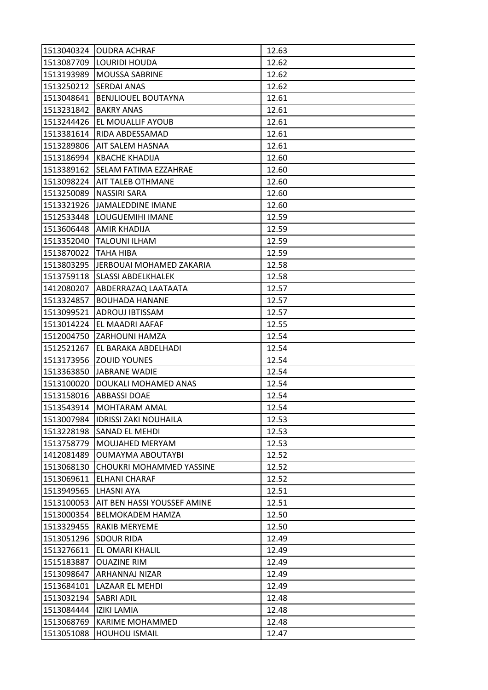| 1513040324 | <b>OUDRA ACHRAF</b>          | 12.63 |
|------------|------------------------------|-------|
| 1513087709 | LOURIDI HOUDA                | 12.62 |
| 1513193989 | <b>MOUSSA SABRINE</b>        | 12.62 |
| 1513250212 | <b>SERDAI ANAS</b>           | 12.62 |
| 1513048641 | <b>BENJLIOUEL BOUTAYNA</b>   | 12.61 |
| 1513231842 | <b>BAKRY ANAS</b>            | 12.61 |
| 1513244426 | EL MOUALLIF AYOUB            | 12.61 |
| 1513381614 | RIDA ABDESSAMAD              | 12.61 |
| 1513289806 | AIT SALEM HASNAA             | 12.61 |
| 1513186994 | KBACHE KHADIJA               | 12.60 |
| 1513389162 | SELAM FATIMA EZZAHRAE        | 12.60 |
| 1513098224 | <b>AIT TALEB OTHMANE</b>     | 12.60 |
| 1513250089 | <b>NASSIRI SARA</b>          | 12.60 |
| 1513321926 | JAMALEDDINE IMANE            | 12.60 |
| 1512533448 | LOUGUEMIHI IMANE             | 12.59 |
| 1513606448 | <b>AMIR KHADIJA</b>          | 12.59 |
| 1513352040 | <b>TALOUNI ILHAM</b>         | 12.59 |
| 1513870022 | <b>TAHA HIBA</b>             | 12.59 |
| 1513803295 | JERBOUAI MOHAMED ZAKARIA     | 12.58 |
| 1513759118 | <b>SLASSI ABDELKHALEK</b>    | 12.58 |
| 1412080207 | ABDERRAZAQ LAATAATA          | 12.57 |
| 1513324857 | <b>BOUHADA HANANE</b>        | 12.57 |
| 1513099521 | ADROUJ IBTISSAM              | 12.57 |
| 1513014224 | EL MAADRI AAFAF              | 12.55 |
| 1512004750 | ZARHOUNI HAMZA               | 12.54 |
| 1512521267 | EL BARAKA ABDELHADI          | 12.54 |
| 1513173956 | <b>ZOUID YOUNES</b>          | 12.54 |
| 1513363850 | <b>JABRANE WADIE</b>         | 12.54 |
| 1513100020 | DOUKALI MOHAMED ANAS         | 12.54 |
| 1513158016 | <b>ABBASSI DOAE</b>          | 12.54 |
| 1513543914 | MOHTARAM AMAL                | 12.54 |
| 1513007984 | <b>IDRISSI ZAKI NOUHAILA</b> | 12.53 |
| 1513228198 | <b>SANAD EL MEHDI</b>        | 12.53 |
| 1513758779 | MOUJAHED MERYAM              | 12.53 |
| 1412081489 | <b>OUMAYMA ABOUTAYBI</b>     | 12.52 |
| 1513068130 | CHOUKRI MOHAMMED YASSINE     | 12.52 |
| 1513069611 | <b>ELHANI CHARAF</b>         | 12.52 |
| 1513949565 | <b>LHASNI AYA</b>            | 12.51 |
| 1513100053 | AIT BEN HASSI YOUSSEF AMINE  | 12.51 |
| 1513000354 | <b>BELMOKADEM HAMZA</b>      | 12.50 |
| 1513329455 | <b>RAKIB MERYEME</b>         | 12.50 |
| 1513051296 | <b>SDOUR RIDA</b>            | 12.49 |
| 1513276611 | EL OMARI KHALIL              | 12.49 |
| 1515183887 | <b>OUAZINE RIM</b>           | 12.49 |
| 1513098647 | ARHANNAJ NIZAR               | 12.49 |
| 1513684101 | LAZAAR EL MEHDI              | 12.49 |
| 1513032194 | <b>SABRI ADIL</b>            | 12.48 |
| 1513084444 | <b>IZIKI LAMIA</b>           | 12.48 |
| 1513068769 | <b>KARIME MOHAMMED</b>       | 12.48 |
| 1513051088 | <b>HOUHOU ISMAIL</b>         | 12.47 |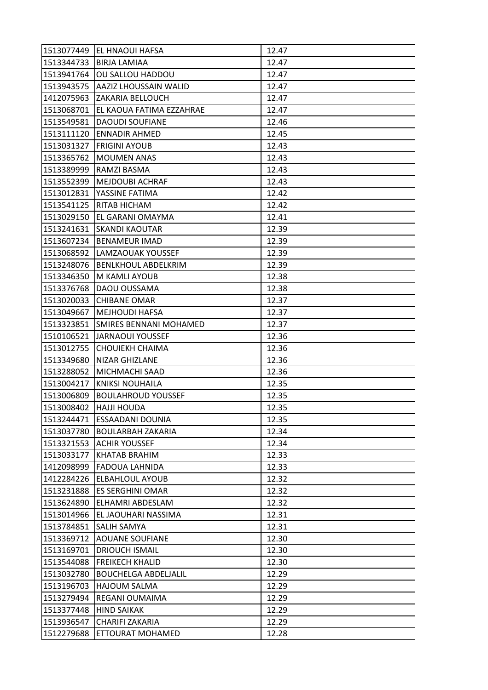| 1513077449 | EL HNAOUI HAFSA             | 12.47 |
|------------|-----------------------------|-------|
| 1513344733 | <b>BIRJA LAMIAA</b>         | 12.47 |
| 1513941764 | OU SALLOU HADDOU            | 12.47 |
| 1513943575 | AAZIZ LHOUSSAIN WALID       | 12.47 |
| 1412075963 | <b>ZAKARIA BELLOUCH</b>     | 12.47 |
| 1513068701 | EL KAOUA FATIMA EZZAHRAE    | 12.47 |
| 1513549581 | <b>DAOUDI SOUFIANE</b>      | 12.46 |
| 1513111120 | <b>ENNADIR AHMED</b>        | 12.45 |
| 1513031327 | <b>FRIGINI AYOUB</b>        | 12.43 |
| 1513365762 | <b>MOUMEN ANAS</b>          | 12.43 |
| 1513389999 | RAMZI BASMA                 | 12.43 |
| 1513552399 | <b>MEJDOUBI ACHRAF</b>      | 12.43 |
| 1513012831 | YASSINE FATIMA              | 12.42 |
| 1513541125 | <b>RITAB HICHAM</b>         | 12.42 |
| 1513029150 | EL GARANI OMAYMA            | 12.41 |
| 1513241631 | <b>SKANDI KAOUTAR</b>       | 12.39 |
| 1513607234 | <b>BENAMEUR IMAD</b>        | 12.39 |
| 1513068592 | <b>LAMZAOUAK YOUSSEF</b>    | 12.39 |
| 1513248076 | <b>BENLKHOUL ABDELKRIM</b>  | 12.39 |
| 1513346350 | M KAMLI AYOUB               | 12.38 |
| 1513376768 | DAOU OUSSAMA                | 12.38 |
| 1513020033 | <b>CHIBANE OMAR</b>         | 12.37 |
| 1513049667 | <b>MEJHOUDI HAFSA</b>       | 12.37 |
| 1513323851 | SMIRES BENNANI MOHAMED      | 12.37 |
| 1510106521 | <b>JARNAOUI YOUSSEF</b>     | 12.36 |
| 1513012755 | <b>CHOUIEKH CHAIMA</b>      | 12.36 |
| 1513349680 | <b>NIZAR GHIZLANE</b>       | 12.36 |
| 1513288052 | MICHMACHI SAAD              | 12.36 |
| 1513004217 | <b>KNIKSI NOUHAILA</b>      | 12.35 |
| 1513006809 | <b>BOULAHROUD YOUSSEF</b>   | 12.35 |
| 1513008402 | <b>HAJJI HOUDA</b>          | 12.35 |
| 1513244471 | <b>ESSAADANI DOUNIA</b>     | 12.35 |
| 1513037780 | <b>BOULARBAH ZAKARIA</b>    | 12.34 |
| 1513321553 | <b>ACHIR YOUSSEF</b>        | 12.34 |
| 1513033177 | KHATAB BRAHIM               | 12.33 |
| 1412098999 | <b>FADOUA LAHNIDA</b>       | 12.33 |
| 1412284226 | <b>ELBAHLOUL AYOUB</b>      | 12.32 |
| 1513231888 | <b>ES SERGHINI OMAR</b>     | 12.32 |
| 1513624890 | ELHAMRI ABDESLAM            | 12.32 |
| 1513014966 | EL JAOUHARI NASSIMA         | 12.31 |
| 1513784851 | <b>SALIH SAMYA</b>          | 12.31 |
| 1513369712 | <b>AOUANE SOUFIANE</b>      | 12.30 |
| 1513169701 | <b>DRIOUCH ISMAIL</b>       | 12.30 |
| 1513544088 | <b>FREIKECH KHALID</b>      | 12.30 |
| 1513032780 | <b>BOUCHELGA ABDELJALIL</b> | 12.29 |
| 1513196703 | <b>HAJOUM SALMA</b>         | 12.29 |
| 1513279494 | REGANI OUMAIMA              | 12.29 |
| 1513377448 | <b>HIND SAIKAK</b>          | 12.29 |
| 1513936547 | <b>CHARIFI ZAKARIA</b>      | 12.29 |
| 1512279688 | <b>ETTOURAT MOHAMED</b>     | 12.28 |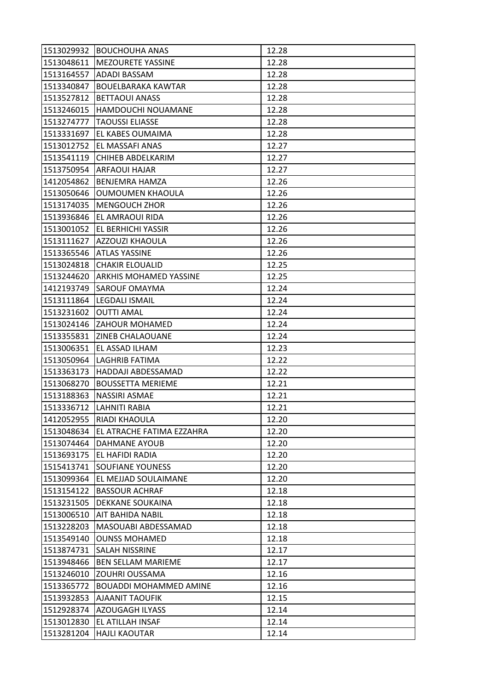| 1513029932 | <b>BOUCHOUHA ANAS</b>         | 12.28 |
|------------|-------------------------------|-------|
| 1513048611 | <b>MEZOURETE YASSINE</b>      | 12.28 |
| 1513164557 | <b>ADADI BASSAM</b>           | 12.28 |
| 1513340847 | <b>BOUELBARAKA KAWTAR</b>     | 12.28 |
| 1513527812 | <b>BETTAOUI ANASS</b>         | 12.28 |
| 1513246015 | HAMDOUCHI NOUAMANE            | 12.28 |
| 1513274777 | <b>TAOUSSI ELIASSE</b>        | 12.28 |
| 1513331697 | EL KABES OUMAIMA              | 12.28 |
| 1513012752 | EL MASSAFI ANAS               | 12.27 |
| 1513541119 | CHIHEB ABDELKARIM             | 12.27 |
| 1513750954 | <b>ARFAOUI HAJAR</b>          | 12.27 |
| 1412054862 | <b>BENJEMRA HAMZA</b>         | 12.26 |
| 1513050646 | <b>OUMOUMEN KHAOULA</b>       | 12.26 |
| 1513174035 | <b>MENGOUCH ZHOR</b>          | 12.26 |
| 1513936846 | EL AMRAOUI RIDA               | 12.26 |
| 1513001052 | <b>EL BERHICHI YASSIR</b>     | 12.26 |
| 1513111627 | <b>AZZOUZI KHAOULA</b>        | 12.26 |
| 1513365546 | <b>ATLAS YASSINE</b>          | 12.26 |
| 1513024818 | <b>CHAKIR ELOUALID</b>        | 12.25 |
| 1513244620 | <b>ARKHIS MOHAMED YASSINE</b> | 12.25 |
| 1412193749 | <b>SAROUF OMAYMA</b>          | 12.24 |
| 1513111864 | <b>LEGDALI ISMAIL</b>         | 12.24 |
| 1513231602 | <b>OUTTI AMAL</b>             | 12.24 |
| 1513024146 | <b>ZAHOUR MOHAMED</b>         | 12.24 |
| 1513355831 | <b>ZINEB CHALAOUANE</b>       | 12.24 |
| 1513006351 | EL ASSAD ILHAM                | 12.23 |
| 1513050964 | LAGHRIB FATIMA                | 12.22 |
| 1513363173 | HADDAJI ABDESSAMAD            | 12.22 |
| 1513068270 | <b>BOUSSETTA MERIEME</b>      | 12.21 |
| 1513188363 | NASSIRI ASMAE                 | 12.21 |
| 1513336712 | <b>LAHNITI RABIA</b>          | 12.21 |
| 1412052955 | <b>RIADI KHAOULA</b>          | 12.20 |
| 1513048634 | EL ATRACHE FATIMA EZZAHRA     | 12.20 |
| 1513074464 | <b>DAHMANE AYOUB</b>          | 12.20 |
| 1513693175 | EL HAFIDI RADIA               | 12.20 |
| 1515413741 | <b>SOUFIANE YOUNESS</b>       | 12.20 |
| 1513099364 | EL MEJJAD SOULAIMANE          | 12.20 |
| 1513154122 | <b>BASSOUR ACHRAF</b>         | 12.18 |
| 1513231505 | <b>DEKKANE SOUKAINA</b>       | 12.18 |
| 1513006510 | <b>AIT BAHIDA NABIL</b>       | 12.18 |
| 1513228203 | MASOUABI ABDESSAMAD           | 12.18 |
| 1513549140 | <b>OUNSS MOHAMED</b>          | 12.18 |
| 1513874731 | <b>SALAH NISSRINE</b>         | 12.17 |
| 1513948466 | <b>BEN SELLAM MARIEME</b>     | 12.17 |
| 1513246010 | <b>ZOUHRI OUSSAMA</b>         | 12.16 |
| 1513365772 | <b>BOUADDI MOHAMMED AMINE</b> | 12.16 |
| 1513932853 | <b>AJAANIT TAOUFIK</b>        | 12.15 |
| 1512928374 | <b>AZOUGAGH ILYASS</b>        | 12.14 |
| 1513012830 | EL ATILLAH INSAF              | 12.14 |
| 1513281204 | <b>HAJLI KAOUTAR</b>          | 12.14 |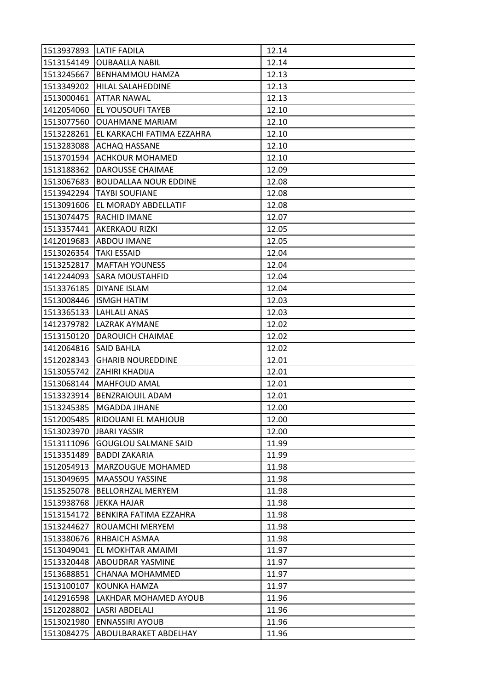| 1513937893 | <b>LATIF FADILA</b>          | 12.14 |
|------------|------------------------------|-------|
| 1513154149 | <b>OUBAALLA NABIL</b>        | 12.14 |
| 1513245667 | BENHAMMOU HAMZA              | 12.13 |
| 1513349202 | HILAL SALAHEDDINE            | 12.13 |
| 1513000461 | <b>ATTAR NAWAL</b>           | 12.13 |
| 1412054060 | EL YOUSOUFI TAYEB            | 12.10 |
| 1513077560 | <b>OUAHMANE MARIAM</b>       | 12.10 |
| 1513228261 | EL KARKACHI FATIMA EZZAHRA   | 12.10 |
| 1513283088 | <b>ACHAQ HASSANE</b>         | 12.10 |
| 1513701594 | <b>ACHKOUR MOHAMED</b>       | 12.10 |
| 1513188362 | DAROUSSE CHAIMAE             | 12.09 |
| 1513067683 | <b>BOUDALLAA NOUR EDDINE</b> | 12.08 |
| 1513942294 | <b>TAYBI SOUFIANE</b>        | 12.08 |
| 1513091606 | EL MORADY ABDELLATIF         | 12.08 |
| 1513074475 | RACHID IMANE                 | 12.07 |
| 1513357441 | <b>AKERKAOU RIZKI</b>        | 12.05 |
| 1412019683 | <b>ABDOU IMANE</b>           | 12.05 |
| 1513026354 | <b>TAKI ESSAID</b>           | 12.04 |
| 1513252817 | <b>MAFTAH YOUNESS</b>        | 12.04 |
| 1412244093 | <b>SARA MOUSTAHFID</b>       | 12.04 |
| 1513376185 | <b>DIYANE ISLAM</b>          | 12.04 |
| 1513008446 | <b>ISMGH HATIM</b>           | 12.03 |
| 1513365133 | <b>LAHLALI ANAS</b>          | 12.03 |
| 1412379782 | <b>LAZRAK AYMANE</b>         | 12.02 |
| 1513150120 | DAROUICH CHAIMAE             | 12.02 |
| 1412064816 | <b>SAID BAHLA</b>            | 12.02 |
| 1512028343 | <b>GHARIB NOUREDDINE</b>     | 12.01 |
| 1513055742 | ZAHIRI KHADIJA               | 12.01 |
| 1513068144 | <b>MAHFOUD AMAL</b>          | 12.01 |
| 1513323914 | <b>BENZRAIOUIL ADAM</b>      | 12.01 |
| 1513245385 | <b>MGADDA JIHANE</b>         | 12.00 |
| 1512005485 | RIDOUANI EL MAHJOUB          | 12.00 |
| 1513023970 | <b>JBARI YASSIR</b>          | 12.00 |
| 1513111096 | <b>GOUGLOU SALMANE SAID</b>  | 11.99 |
| 1513351489 | <b>BADDI ZAKARIA</b>         | 11.99 |
| 1512054913 | <b>MARZOUGUE MOHAMED</b>     | 11.98 |
| 1513049695 | <b>MAASSOU YASSINE</b>       | 11.98 |
| 1513525078 | BELLORHZAL MERYEM            | 11.98 |
| 1513938768 | <b>JEKKA HAJAR</b>           | 11.98 |
| 1513154172 | BENKIRA FATIMA EZZAHRA       | 11.98 |
| 1513244627 | ROUAMCHI MERYEM              | 11.98 |
| 1513380676 | RHBAICH ASMAA                | 11.98 |
| 1513049041 | EL MOKHTAR AMAIMI            | 11.97 |
| 1513320448 | ABOUDRAR YASMINE             | 11.97 |
| 1513688851 | CHANAA MOHAMMED              | 11.97 |
| 1513100107 | KOUNKA HAMZA                 | 11.97 |
| 1412916598 | LAKHDAR MOHAMED AYOUB        | 11.96 |
| 1512028802 | <b>LASRI ABDELALI</b>        | 11.96 |
| 1513021980 | <b>ENNASSIRI AYOUB</b>       | 11.96 |
| 1513084275 | ABOULBARAKET ABDELHAY        | 11.96 |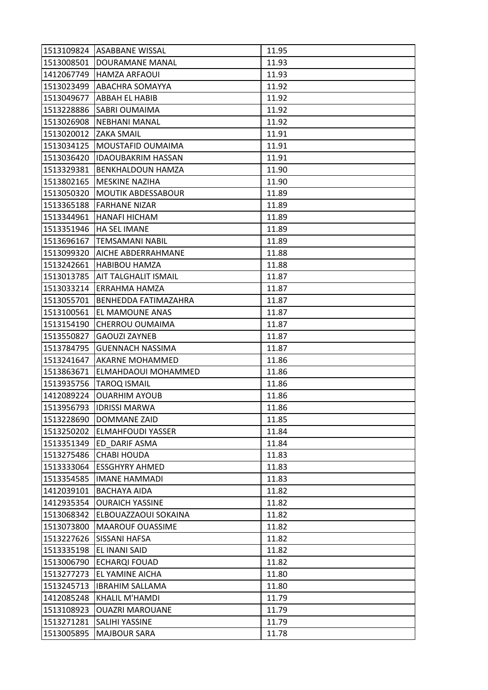| 1513109824 | <b>ASABBANE WISSAL</b>      | 11.95 |
|------------|-----------------------------|-------|
| 1513008501 | DOURAMANE MANAL             | 11.93 |
| 1412067749 | <b>HAMZA ARFAOUI</b>        | 11.93 |
| 1513023499 | ABACHRA SOMAYYA             | 11.92 |
| 1513049677 | ABBAH EL HABIB              | 11.92 |
| 1513228886 | <b>SABRI OUMAIMA</b>        | 11.92 |
| 1513026908 | <b>NEBHANI MANAL</b>        | 11.92 |
| 1513020012 | <b>ZAKA SMAIL</b>           | 11.91 |
| 1513034125 | MOUSTAFID OUMAIMA           | 11.91 |
| 1513036420 | <b>IDAOUBAKRIM HASSAN</b>   | 11.91 |
| 1513329381 | <b>BENKHALDOUN HAMZA</b>    | 11.90 |
| 1513802165 | <b>MESKINE NAZIHA</b>       | 11.90 |
| 1513050320 | <b>MOUTIK ABDESSABOUR</b>   | 11.89 |
| 1513365188 | <b>FARHANE NIZAR</b>        | 11.89 |
| 1513344961 | <b>HANAFI HICHAM</b>        | 11.89 |
| 1513351946 | <b>HA SEL IMANE</b>         | 11.89 |
| 1513696167 | <b>TEMSAMANI NABIL</b>      | 11.89 |
| 1513099320 | AICHE ABDERRAHMANE          | 11.88 |
| 1513242661 | <b>HABIBOU HAMZA</b>        | 11.88 |
| 1513013785 | AIT TALGHALIT ISMAIL        | 11.87 |
| 1513033214 | <b>ERRAHMA HAMZA</b>        | 11.87 |
| 1513055701 | <b>BENHEDDA FATIMAZAHRA</b> | 11.87 |
| 1513100561 | EL MAMOUNE ANAS             | 11.87 |
| 1513154190 | CHERROU OUMAIMA             | 11.87 |
| 1513550827 | <b>GAOUZI ZAYNEB</b>        | 11.87 |
| 1513784795 | <b>GUENNACH NASSIMA</b>     | 11.87 |
| 1513241647 | AKARNE MOHAMMED             | 11.86 |
| 1513863671 | ELMAHDAOUI MOHAMMED         | 11.86 |
| 1513935756 | <b>TAROQ ISMAIL</b>         | 11.86 |
| 1412089224 | <b>OUARHIM AYOUB</b>        | 11.86 |
| 1513956793 | <b>IDRISSI MARWA</b>        | 11.86 |
| 1513228690 | <b>DOMMANE ZAID</b>         | 11.85 |
| 1513250202 | <b>ELMAHFOUDI YASSER</b>    | 11.84 |
| 1513351349 | ED DARIF ASMA               | 11.84 |
| 1513275486 | <b>CHABI HOUDA</b>          | 11.83 |
| 1513333064 | <b>ESSGHYRY AHMED</b>       | 11.83 |
| 1513354585 | <b>IMANE HAMMADI</b>        | 11.83 |
| 1412039101 | <b>BACHAYA AIDA</b>         | 11.82 |
| 1412935354 | <b>OURAICH YASSINE</b>      | 11.82 |
| 1513068342 | ELBOUAZZAOUI SOKAINA        | 11.82 |
| 1513073800 | <b>MAAROUF OUASSIME</b>     | 11.82 |
| 1513227626 | <b>SISSANI HAFSA</b>        | 11.82 |
| 1513335198 | <b>EL INANI SAID</b>        | 11.82 |
| 1513006790 | <b>ECHARQI FOUAD</b>        | 11.82 |
| 1513277273 | EL YAMINE AICHA             | 11.80 |
| 1513245713 | <b>IBRAHIM SALLAMA</b>      | 11.80 |
| 1412085248 | <b>KHALIL M'HAMDI</b>       | 11.79 |
| 1513108923 | <b>OUAZRI MAROUANE</b>      | 11.79 |
| 1513271281 | <b>SALIHI YASSINE</b>       | 11.79 |
| 1513005895 | <b>MAJBOUR SARA</b>         | 11.78 |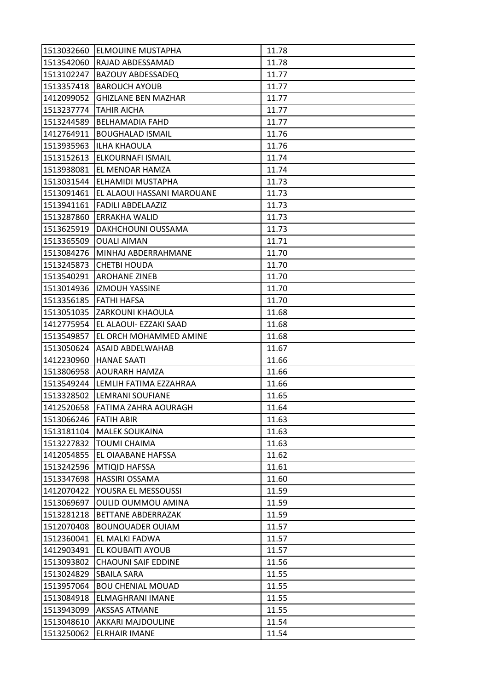| 1513032660 | <b>ELMOUINE MUSTAPHA</b>   | 11.78 |
|------------|----------------------------|-------|
| 1513542060 | RAJAD ABDESSAMAD           | 11.78 |
| 1513102247 | <b>BAZOUY ABDESSADEQ</b>   | 11.77 |
| 1513357418 | <b>BAROUCH AYOUB</b>       | 11.77 |
| 1412099052 | <b>GHIZLANE BEN MAZHAR</b> | 11.77 |
| 1513237774 | TAHIR AICHA                | 11.77 |
| 1513244589 | <b>BELHAMADIA FAHD</b>     | 11.77 |
| 1412764911 | <b>BOUGHALAD ISMAIL</b>    | 11.76 |
| 1513935963 | <b>ILHA KHAOULA</b>        | 11.76 |
| 1513152613 | ELKOURNAFI ISMAIL          | 11.74 |
| 1513938081 | EL MENOAR HAMZA            | 11.74 |
| 1513031544 | ELHAMIDI MUSTAPHA          | 11.73 |
| 1513091461 | EL ALAOUI HASSANI MAROUANE | 11.73 |
| 1513941161 | <b>FADILI ABDELAAZIZ</b>   | 11.73 |
| 1513287860 | ERRAKHA WALID              | 11.73 |
| 1513625919 | DAKHCHOUNI OUSSAMA         | 11.73 |
| 1513365509 | <b>OUALI AIMAN</b>         | 11.71 |
| 1513084276 | MINHAJ ABDERRAHMANE        | 11.70 |
| 1513245873 | <b>CHETBI HOUDA</b>        | 11.70 |
| 1513540291 | <b>AROHANE ZINEB</b>       | 11.70 |
| 1513014936 | <b>IZMOUH YASSINE</b>      | 11.70 |
| 1513356185 | <b>FATHI HAFSA</b>         | 11.70 |
| 1513051035 | ZARKOUNI KHAOULA           | 11.68 |
| 1412775954 | EL ALAOUI- EZZAKI SAAD     | 11.68 |
| 1513549857 | EL ORCH MOHAMMED AMINE     | 11.68 |
| 1513050624 | <b>ASAID ABDELWAHAB</b>    | 11.67 |
| 1412230960 | <b>HANAE SAATI</b>         | 11.66 |
| 1513806958 | AOURARH HAMZA              | 11.66 |
| 1513549244 | LEMLIH FATIMA EZZAHRAA     | 11.66 |
| 1513328502 | LEMRANI SOUFIANE           | 11.65 |
| 1412520658 | FATIMA ZAHRA AOURAGH       | 11.64 |
| 1513066246 | <b>FATIH ABIR</b>          | 11.63 |
| 1513181104 | <b>MALEK SOUKAINA</b>      | 11.63 |
| 1513227832 | <b>TOUMI CHAIMA</b>        | 11.63 |
| 1412054855 | EL OIAABANE HAFSSA         | 11.62 |
| 1513242596 | MTIQID HAFSSA              | 11.61 |
| 1513347698 | <b>HASSIRI OSSAMA</b>      | 11.60 |
| 1412070422 | YOUSRA EL MESSOUSSI        | 11.59 |
| 1513069697 | OULID OUMMOU AMINA         | 11.59 |
| 1513281218 | <b>BETTANE ABDERRAZAK</b>  | 11.59 |
| 1512070408 | <b>BOUNOUADER OUIAM</b>    | 11.57 |
| 1512360041 | EL MALKI FADWA             | 11.57 |
| 1412903491 | EL KOUBAITI AYOUB          | 11.57 |
| 1513093802 | <b>CHAOUNI SAIF EDDINE</b> | 11.56 |
| 1513024829 | <b>SBAILA SARA</b>         | 11.55 |
| 1513957064 | <b>BOU CHENIAL MOUAD</b>   | 11.55 |
| 1513084918 | ELMAGHRANI IMANE           | 11.55 |
| 1513943099 | <b>AKSSAS ATMANE</b>       | 11.55 |
| 1513048610 | AKKARI MAJDOULINE          | 11.54 |
| 1513250062 | <b>ELRHAIR IMANE</b>       | 11.54 |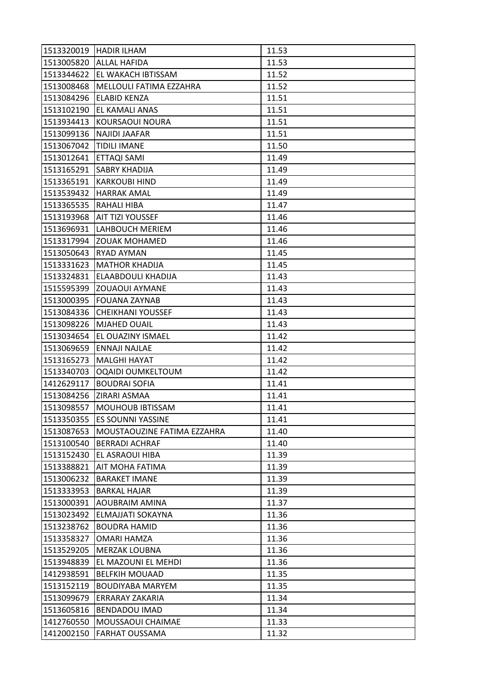| 1513320019 | <b>HADIR ILHAM</b>          | 11.53 |
|------------|-----------------------------|-------|
| 1513005820 | <b>ALLAL HAFIDA</b>         | 11.53 |
| 1513344622 | EL WAKACH IBTISSAM          | 11.52 |
| 1513008468 | MELLOULI FATIMA EZZAHRA     | 11.52 |
| 1513084296 | <b>ELABID KENZA</b>         | 11.51 |
| 1513102190 | EL KAMALI ANAS              | 11.51 |
| 1513934413 | KOURSAOUI NOURA             | 11.51 |
| 1513099136 | <b>NAJIDI JAAFAR</b>        | 11.51 |
| 1513067042 | <b>TIDILI IMANE</b>         | 11.50 |
| 1513012641 | ETTAQI SAMI                 | 11.49 |
| 1513165291 | <b>SABRY KHADIJA</b>        | 11.49 |
| 1513365191 | <b>KARKOUBI HIND</b>        | 11.49 |
| 1513539432 | <b>HARRAK AMAL</b>          | 11.49 |
| 1513365535 | <b>RAHALI HIBA</b>          | 11.47 |
| 1513193968 | AIT TIZI YOUSSEF            | 11.46 |
| 1513696931 | LAHBOUCH MERIEM             | 11.46 |
| 1513317994 | <b>ZOUAK MOHAMED</b>        | 11.46 |
| 1513050643 | <b>RYAD AYMAN</b>           | 11.45 |
| 1513331623 | <b>MATHOR KHADIJA</b>       | 11.45 |
| 1513324831 | ELAABDOULI KHADIJA          | 11.43 |
| 1515595399 | <b>ZOUAOUI AYMANE</b>       | 11.43 |
| 1513000395 | <b>FOUANA ZAYNAB</b>        | 11.43 |
| 1513084336 | <b>CHEIKHANI YOUSSEF</b>    | 11.43 |
| 1513098226 | <b>MJAHED OUAIL</b>         | 11.43 |
| 1513034654 | EL OUAZINY ISMAEL           | 11.42 |
| 1513069659 | <b>ENNAJI NAJLAE</b>        | 11.42 |
| 1513165273 | <b>MALGHI HAYAT</b>         | 11.42 |
| 1513340703 | OQAIDI OUMKELTOUM           | 11.42 |
| 1412629117 | <b>BOUDRAI SOFIA</b>        | 11.41 |
| 1513084256 | ZIRARI ASMAA                | 11.41 |
| 1513098557 | <b>MOUHOUB IBTISSAM</b>     | 11.41 |
| 1513350355 | <b>ES SOUNNI YASSINE</b>    | 11.41 |
| 1513087653 | MOUSTAOUZINE FATIMA EZZAHRA | 11.40 |
| 1513100540 | <b>BERRADI ACHRAF</b>       | 11.40 |
| 1513152430 | EL ASRAOUI HIBA             | 11.39 |
| 1513388821 | AIT MOHA FATIMA             | 11.39 |
| 1513006232 | <b>BARAKET IMANE</b>        | 11.39 |
| 1513333953 | <b>BARKAL HAJAR</b>         | 11.39 |
| 1513000391 | AOUBRAIM AMINA              | 11.37 |
| 1513023492 | ELMAJJATI SOKAYNA           | 11.36 |
| 1513238762 | <b>BOUDRA HAMID</b>         | 11.36 |
| 1513358327 | OMARI HAMZA                 | 11.36 |
| 1513529205 | <b>MERZAK LOUBNA</b>        | 11.36 |
| 1513948839 | EL MAZOUNI EL MEHDI         | 11.36 |
| 1412938591 | <b>BELFKIH MOUAAD</b>       | 11.35 |
| 1513152119 | <b>BOUDIYABA MARYEM</b>     | 11.35 |
| 1513099679 | <b>ERRARAY ZAKARIA</b>      | 11.34 |
| 1513605816 | <b>BENDADOU IMAD</b>        | 11.34 |
| 1412760550 | MOUSSAOUI CHAIMAE           | 11.33 |
| 1412002150 | <b>FARHAT OUSSAMA</b>       | 11.32 |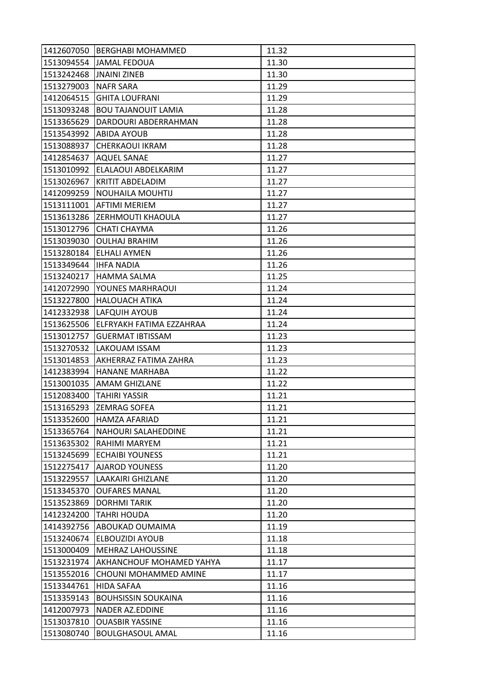| 1412607050 | <b>BERGHABI MOHAMMED</b>   | 11.32 |
|------------|----------------------------|-------|
| 1513094554 | <b>JAMAL FEDOUA</b>        | 11.30 |
| 1513242468 | <b>JNAINI ZINEB</b>        | 11.30 |
| 1513279003 | <b>NAFR SARA</b>           | 11.29 |
| 1412064515 | <b>GHITA LOUFRANI</b>      | 11.29 |
| 1513093248 | <b>BOU TAJANOUIT LAMIA</b> | 11.28 |
| 1513365629 | DARDOURI ABDERRAHMAN       | 11.28 |
| 1513543992 | <b>ABIDA AYOUB</b>         | 11.28 |
| 1513088937 | <b>CHERKAOUI IKRAM</b>     | 11.28 |
| 1412854637 | <b>AQUEL SANAE</b>         | 11.27 |
| 1513010992 | ELALAOUI ABDELKARIM        | 11.27 |
| 1513026967 | KRITIT ABDELADIM           | 11.27 |
| 1412099259 | <b>NOUHAILA MOUHTIJ</b>    | 11.27 |
| 1513111001 | <b>AFTIMI MERIEM</b>       | 11.27 |
| 1513613286 | ZERHMOUTI KHAOULA          | 11.27 |
| 1513012796 | <b>CHATI CHAYMA</b>        | 11.26 |
| 1513039030 | <b>OULHAJ BRAHIM</b>       | 11.26 |
| 1513280184 | <b>ELHALI AYMEN</b>        | 11.26 |
| 1513349644 | <b>IHFA NADIA</b>          | 11.26 |
| 1513240217 | <b>HAMMA SALMA</b>         | 11.25 |
| 1412072990 | YOUNES MARHRAOUI           | 11.24 |
| 1513227800 | <b>HALOUACH ATIKA</b>      | 11.24 |
| 1412332938 | LAFQUIH AYOUB              | 11.24 |
| 1513625506 | ELFRYAKH FATIMA EZZAHRAA   | 11.24 |
| 1513012757 | <b>GUERMAT IBTISSAM</b>    | 11.23 |
| 1513270532 | LAKOUAM ISSAM              | 11.23 |
| 1513014853 | AKHERRAZ FATIMA ZAHRA      | 11.23 |
| 1412383994 | <b>HANANE MARHABA</b>      | 11.22 |
| 1513001035 | <b>AMAM GHIZLANE</b>       | 11.22 |
| 1512083400 | <b>TAHIRI YASSIR</b>       | 11.21 |
| 1513165293 | <b>ZEMRAG SOFEA</b>        | 11.21 |
| 1513352600 | <b>HAMZA AFARIAD</b>       | 11.21 |
| 1513365764 | <b>NAHOURI SALAHEDDINE</b> | 11.21 |
| 1513635302 | RAHIMI MARYEM              | 11.21 |
| 1513245699 | <b>ECHAIBI YOUNESS</b>     | 11.21 |
| 1512275417 | <b>AJAROD YOUNESS</b>      | 11.20 |
| 1513229557 | LAAKAIRI GHIZLANE          | 11.20 |
| 1513345370 | <b>OUFARES MANAL</b>       | 11.20 |
| 1513523869 | <b>DORHMITARIK</b>         | 11.20 |
| 1412324200 | <b>TAHRI HOUDA</b>         | 11.20 |
| 1414392756 | ABOUKAD OUMAIMA            | 11.19 |
| 1513240674 | <b>ELBOUZIDI AYOUB</b>     | 11.18 |
| 1513000409 | <b>MEHRAZ LAHOUSSINE</b>   | 11.18 |
| 1513231974 | AKHANCHOUF MOHAMED YAHYA   | 11.17 |
| 1513552016 | CHOUNI MOHAMMED AMINE      | 11.17 |
| 1513344761 | HIDA SAFAA                 | 11.16 |
| 1513359143 | <b>BOUHSISSIN SOUKAINA</b> | 11.16 |
| 1412007973 | NADER AZ.EDDINE            | 11.16 |
| 1513037810 | <b>OUASBIR YASSINE</b>     | 11.16 |
| 1513080740 | <b>BOULGHASOUL AMAL</b>    | 11.16 |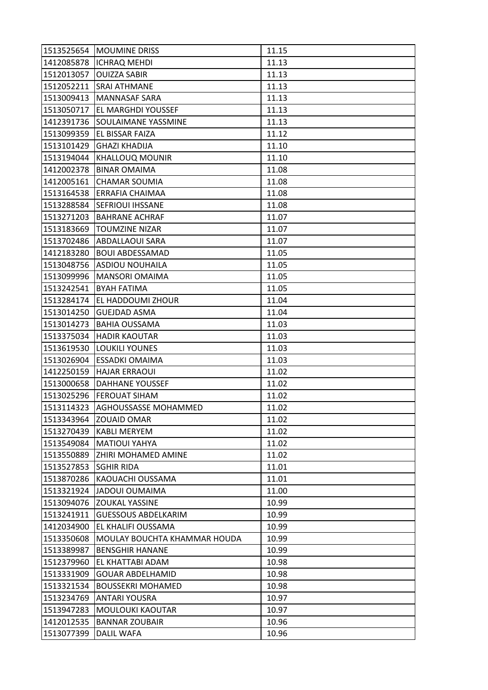| 1513525654 | <b>MOUMINE DRISS</b>         | 11.15 |
|------------|------------------------------|-------|
| 1412085878 | <b>ICHRAQ MEHDI</b>          | 11.13 |
| 1512013057 | <b>OUIZZA SABIR</b>          | 11.13 |
| 1512052211 | <b>SRAI ATHMANE</b>          | 11.13 |
| 1513009413 | <b>MANNASAF SARA</b>         | 11.13 |
| 1513050717 | <b>EL MARGHDI YOUSSEF</b>    | 11.13 |
| 1412391736 | SOULAIMANE YASSMINE          | 11.13 |
| 1513099359 | EL BISSAR FAIZA              | 11.12 |
| 1513101429 | <b>GHAZI KHADIJA</b>         | 11.10 |
| 1513194044 | <b>KHALLOUQ MOUNIR</b>       | 11.10 |
| 1412002378 | <b>BINAR OMAIMA</b>          | 11.08 |
| 1412005161 | <b>CHAMAR SOUMIA</b>         | 11.08 |
| 1513164538 | <b>ERRAFIA CHAIMAA</b>       | 11.08 |
| 1513288584 | <b>SEFRIOUI IHSSANE</b>      | 11.08 |
| 1513271203 | <b>BAHRANE ACHRAF</b>        | 11.07 |
| 1513183669 | <b>TOUMZINE NIZAR</b>        | 11.07 |
| 1513702486 | ABDALLAOUI SARA              | 11.07 |
| 1412183280 | <b>BOUI ABDESSAMAD</b>       | 11.05 |
| 1513048756 | <b>ASDIOU NOUHAILA</b>       | 11.05 |
| 1513099996 | <b>MANSORI OMAIMA</b>        | 11.05 |
| 1513242541 | <b>BYAH FATIMA</b>           | 11.05 |
| 1513284174 | EL HADDOUMI ZHOUR            | 11.04 |
| 1513014250 | <b>GUEJDAD ASMA</b>          | 11.04 |
| 1513014273 | <b>BAHIA OUSSAMA</b>         | 11.03 |
| 1513375034 | <b>HADIR KAOUTAR</b>         | 11.03 |
| 1513619530 | <b>LOUKILI YOUNES</b>        | 11.03 |
| 1513026904 | <b>ESSADKI OMAIMA</b>        | 11.03 |
| 1412250159 | <b>HAJAR ERRAOUI</b>         | 11.02 |
| 1513000658 | <b>DAHHANE YOUSSEF</b>       | 11.02 |
| 1513025296 | <b>FEROUAT SIHAM</b>         | 11.02 |
| 1513114323 | <b>AGHOUSSASSE MOHAMMED</b>  | 11.02 |
| 1513343964 | <b>ZOUAID OMAR</b>           | 11.02 |
| 1513270439 | <b>KABLI MERYEM</b>          | 11.02 |
| 1513549084 | <b>MATIOUI YAHYA</b>         | 11.02 |
| 1513550889 | ZHIRI MOHAMED AMINE          | 11.02 |
| 1513527853 | <b>SGHIR RIDA</b>            | 11.01 |
| 1513870286 | KAOUACHI OUSSAMA             | 11.01 |
| 1513321924 | <b>JADOUI OUMAIMA</b>        | 11.00 |
| 1513094076 | <b>ZOUKAL YASSINE</b>        | 10.99 |
| 1513241911 | <b>GUESSOUS ABDELKARIM</b>   | 10.99 |
| 1412034900 | EL KHALIFI OUSSAMA           | 10.99 |
| 1513350608 | MOULAY BOUCHTA KHAMMAR HOUDA | 10.99 |
| 1513389987 | <b>BENSGHIR HANANE</b>       | 10.99 |
| 1512379960 | EL KHATTABI ADAM             | 10.98 |
| 1513331909 | <b>GOUAR ABDELHAMID</b>      | 10.98 |
| 1513321534 | <b>BOUSSEKRI MOHAMED</b>     | 10.98 |
| 1513234769 | <b>ANTARI YOUSRA</b>         | 10.97 |
| 1513947283 | <b>MOULOUKI KAOUTAR</b>      | 10.97 |
| 1412012535 | <b>BANNAR ZOUBAIR</b>        | 10.96 |
| 1513077399 | <b>DALIL WAFA</b>            | 10.96 |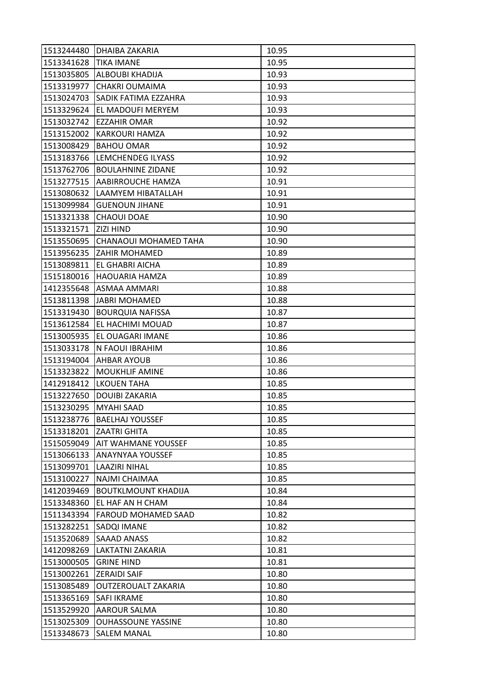| 1513244480 | DHAIBA ZAKARIA              | 10.95 |
|------------|-----------------------------|-------|
| 1513341628 | <b>TIKA IMANE</b>           | 10.95 |
| 1513035805 | <b>ALBOUBI KHADIJA</b>      | 10.93 |
| 1513319977 | <b>CHAKRI OUMAIMA</b>       | 10.93 |
| 1513024703 | <b>SADIK FATIMA EZZAHRA</b> | 10.93 |
| 1513329624 | EL MADOUFI MERYEM           | 10.93 |
| 1513032742 | <b>EZZAHIR OMAR</b>         | 10.92 |
| 1513152002 | KARKOURI HAMZA              | 10.92 |
| 1513008429 | <b>BAHOU OMAR</b>           | 10.92 |
| 1513183766 | LEMCHENDEG ILYASS           | 10.92 |
| 1513762706 | <b>BOULAHNINE ZIDANE</b>    | 10.92 |
| 1513277515 | AABIRROUCHE HAMZA           | 10.91 |
| 1513080632 | LAAMYEM HIBATALLAH          | 10.91 |
| 1513099984 | <b>GUENOUN JIHANE</b>       | 10.91 |
| 1513321338 | <b>CHAOUI DOAE</b>          | 10.90 |
| 1513321571 | <b>ZIZI HIND</b>            | 10.90 |
| 1513550695 | CHANAOUI MOHAMED TAHA       | 10.90 |
| 1513956235 | <b>ZAHIR MOHAMED</b>        | 10.89 |
| 1513089811 | EL GHABRI AICHA             | 10.89 |
| 1515180016 | <b>HAOUARIA HAMZA</b>       | 10.89 |
| 1412355648 | <b>ASMAA AMMARI</b>         | 10.88 |
| 1513811398 | <b>JABRI MOHAMED</b>        | 10.88 |
| 1513319430 | <b>BOURQUIA NAFISSA</b>     | 10.87 |
| 1513612584 | EL HACHIMI MOUAD            | 10.87 |
| 1513005935 | EL OUAGARI IMANE            | 10.86 |
| 1513033178 | N FAOUI IBRAHIM             | 10.86 |
| 1513194004 | <b>AHBAR AYOUB</b>          | 10.86 |
| 1513323822 | <b>MOUKHLIF AMINE</b>       | 10.86 |
| 1412918412 | <b>LKOUEN TAHA</b>          | 10.85 |
| 1513227650 | <b>DOUIBI ZAKARIA</b>       | 10.85 |
| 1513230295 | <b>MYAHI SAAD</b>           | 10.85 |
| 1513238776 | <b>BAELHAJ YOUSSEF</b>      | 10.85 |
| 1513318201 | <b>ZAATRI GHITA</b>         | 10.85 |
| 1515059049 | <b>AIT WAHMANE YOUSSEF</b>  | 10.85 |
| 1513066133 | ANAYNYAA YOUSSEF            | 10.85 |
| 1513099701 | <b>LAAZIRI NIHAL</b>        | 10.85 |
| 1513100227 | <b>NAJMI CHAIMAA</b>        | 10.85 |
| 1412039469 | <b>BOUTKLMOUNT KHADIJA</b>  | 10.84 |
| 1513348360 | EL HAF AN H CHAM            | 10.84 |
| 1511343394 | <b>FAROUD MOHAMED SAAD</b>  | 10.82 |
| 1513282251 | SADQI IMANE                 | 10.82 |
| 1513520689 | <b>SAAAD ANASS</b>          | 10.82 |
| 1412098269 | LAKTATNI ZAKARIA            | 10.81 |
| 1513000505 | <b>GRINE HIND</b>           | 10.81 |
| 1513002261 | <b>ZERAIDI SAIF</b>         | 10.80 |
| 1513085489 | OUTZEROUALT ZAKARIA         | 10.80 |
| 1513365169 | <b>SAFI IKRAME</b>          | 10.80 |
| 1513529920 | <b>AAROUR SALMA</b>         | 10.80 |
| 1513025309 | <b>OUHASSOUNE YASSINE</b>   | 10.80 |
| 1513348673 | <b>SALEM MANAL</b>          | 10.80 |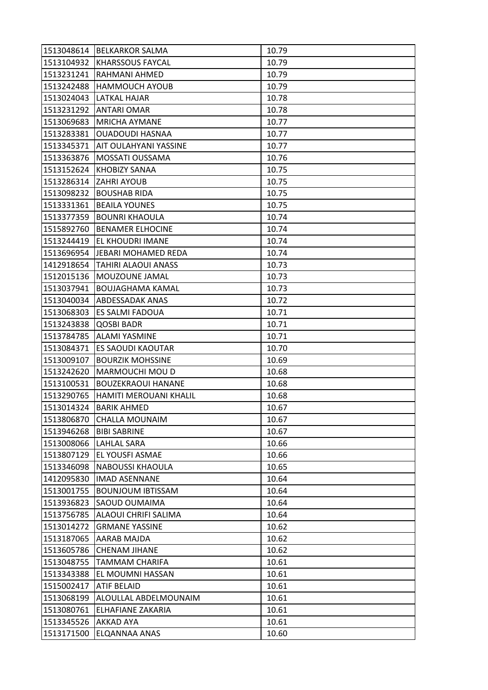| 1513048614 | <b>BELKARKOR SALMA</b>     | 10.79 |
|------------|----------------------------|-------|
| 1513104932 | <b>KHARSSOUS FAYCAL</b>    | 10.79 |
| 1513231241 | RAHMANI AHMED              | 10.79 |
| 1513242488 | <b>HAMMOUCH AYOUB</b>      | 10.79 |
| 1513024043 | LATKAL HAJAR               | 10.78 |
| 1513231292 | <b>ANTARI OMAR</b>         | 10.78 |
| 1513069683 | <b>MRICHA AYMANE</b>       | 10.77 |
| 1513283381 | <b>OUADOUDI HASNAA</b>     | 10.77 |
| 1513345371 | AIT OULAHYANI YASSINE      | 10.77 |
| 1513363876 | MOSSATI OUSSAMA            | 10.76 |
| 1513152624 | <b>KHOBIZY SANAA</b>       | 10.75 |
| 1513286314 | <b>ZAHRI AYOUB</b>         | 10.75 |
| 1513098232 | <b>BOUSHAB RIDA</b>        | 10.75 |
| 1513331361 | <b>BEAILA YOUNES</b>       | 10.75 |
| 1513377359 | <b>BOUNRI KHAOULA</b>      | 10.74 |
| 1515892760 | <b>BENAMER ELHOCINE</b>    | 10.74 |
| 1513244419 | EL KHOUDRI IMANE           | 10.74 |
| 1513696954 | JEBARI MOHAMED REDA        | 10.74 |
| 1412918654 | <b>TAHIRI ALAOUI ANASS</b> | 10.73 |
| 1512015136 | MOUZOUNE JAMAL             | 10.73 |
| 1513037941 | <b>BOUJAGHAMA KAMAL</b>    | 10.73 |
| 1513040034 | <b>ABDESSADAK ANAS</b>     | 10.72 |
| 1513068303 | ES SALMI FADOUA            | 10.71 |
| 1513243838 | <b>QOSBI BADR</b>          | 10.71 |
| 1513784785 | <b>ALAMI YASMINE</b>       | 10.71 |
| 1513084371 | <b>ES SAOUDI KAOUTAR</b>   | 10.70 |
| 1513009107 | <b>BOURZIK MOHSSINE</b>    | 10.69 |
| 1513242620 | MARMOUCHI MOU D            | 10.68 |
| 1513100531 | <b>BOUZEKRAOUI HANANE</b>  | 10.68 |
| 1513290765 | HAMITI MEROUANI KHALIL     | 10.68 |
| 1513014324 | <b>BARIK AHMED</b>         | 10.67 |
| 1513806870 | <b>CHALLA MOUNAIM</b>      | 10.67 |
| 1513946268 | <b>BIBI SABRINE</b>        | 10.67 |
| 1513008066 | <b>LAHLAL SARA</b>         | 10.66 |
| 1513807129 | EL YOUSFI ASMAE            | 10.66 |
| 1513346098 | <b>NABOUSSI KHAOULA</b>    | 10.65 |
| 1412095830 | <b>IMAD ASENNANE</b>       | 10.64 |
| 1513001755 | <b>BOUNJOUM IBTISSAM</b>   | 10.64 |
| 1513936823 | SAOUD OUMAIMA              | 10.64 |
| 1513756785 | ALAOUI CHRIFI SALIMA       | 10.64 |
| 1513014272 | <b>GRMANE YASSINE</b>      | 10.62 |
| 1513187065 | <b>AARAB MAJDA</b>         | 10.62 |
| 1513605786 | <b>CHENAM JIHANE</b>       | 10.62 |
| 1513048755 | TAMMAM CHARIFA             | 10.61 |
| 1513343388 | EL MOUMNI HASSAN           | 10.61 |
| 1515002417 | <b>ATIF BELAID</b>         | 10.61 |
| 1513068199 | ALOULLAL ABDELMOUNAIM      | 10.61 |
| 1513080761 | <b>ELHAFIANE ZAKARIA</b>   | 10.61 |
| 1513345526 | <b>AKKAD AYA</b>           | 10.61 |
| 1513171500 | ELQANNAA ANAS              | 10.60 |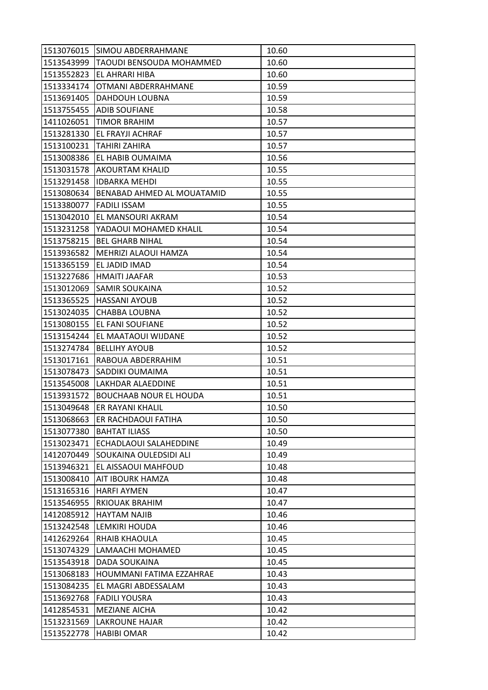| 1513076015 | <b>SIMOU ABDERRAHMANE</b>     | 10.60 |
|------------|-------------------------------|-------|
| 1513543999 | TAOUDI BENSOUDA MOHAMMED      | 10.60 |
| 1513552823 | <b>EL AHRARI HIBA</b>         | 10.60 |
| 1513334174 | OTMANI ABDERRAHMANE           | 10.59 |
| 1513691405 | DAHDOUH LOUBNA                | 10.59 |
| 1513755455 | ADIB SOUFIANE                 | 10.58 |
| 1411026051 | <b>TIMOR BRAHIM</b>           | 10.57 |
| 1513281330 | EL FRAYJI ACHRAF              | 10.57 |
| 1513100231 | <b>TAHIRI ZAHIRA</b>          | 10.57 |
| 1513008386 | EL HABIB OUMAIMA              | 10.56 |
| 1513031578 | <b>AKOURTAM KHALID</b>        | 10.55 |
| 1513291458 | <b>IDBARKA MEHDI</b>          | 10.55 |
| 1513080634 | BENABAD AHMED AL MOUATAMID    | 10.55 |
| 1513380077 | <b>FADILI ISSAM</b>           | 10.55 |
| 1513042010 | EL MANSOURI AKRAM             | 10.54 |
| 1513231258 | YADAOUI MOHAMED KHALIL        | 10.54 |
| 1513758215 | <b>BEL GHARB NIHAL</b>        | 10.54 |
| 1513936582 | MEHRIZI ALAOUI HAMZA          | 10.54 |
| 1513365159 | EL JADID IMAD                 | 10.54 |
| 1513227686 | <b>HMAITI JAAFAR</b>          | 10.53 |
| 1513012069 | <b>SAMIR SOUKAINA</b>         | 10.52 |
| 1513365525 | <b>HASSANI AYOUB</b>          | 10.52 |
| 1513024035 | <b>CHABBA LOUBNA</b>          | 10.52 |
| 1513080155 | EL FANI SOUFIANE              | 10.52 |
| 1513154244 | EL MAATAOUI WIJDANE           | 10.52 |
| 1513274784 | <b>BELLIHY AYOUB</b>          | 10.52 |
| 1513017161 | RABOUA ABDERRAHIM             | 10.51 |
| 1513078473 | SADDIKI OUMAIMA               | 10.51 |
| 1513545008 | LAKHDAR ALAEDDINE             | 10.51 |
| 1513931572 | <b>BOUCHAAB NOUR EL HOUDA</b> | 10.51 |
| 1513049648 | ER RAYANI KHALIL              | 10.50 |
| 1513068663 | <b>ER RACHDAOUI FATIHA</b>    | 10.50 |
| 1513077380 | <b>BAHTAT ILIASS</b>          | 10.50 |
| 1513023471 | ECHADLAOUI SALAHEDDINE        | 10.49 |
| 1412070449 | SOUKAINA OULEDSIDI ALI        | 10.49 |
| 1513946321 | EL AISSAOUI MAHFOUD           | 10.48 |
| 1513008410 | AIT IBOURK HAMZA              | 10.48 |
| 1513165316 | <b>HARFI AYMEN</b>            | 10.47 |
| 1513546955 | <b>RKIOUAK BRAHIM</b>         | 10.47 |
| 1412085912 | <b>HAYTAM NAJIB</b>           | 10.46 |
| 1513242548 | LEMKIRI HOUDA                 | 10.46 |
| 1412629264 | RHAIB KHAOULA                 | 10.45 |
| 1513074329 | LAMAACHI MOHAMED              | 10.45 |
| 1513543918 | DADA SOUKAINA                 | 10.45 |
| 1513068183 | HOUMMANI FATIMA EZZAHRAE      | 10.43 |
| 1513084235 | EL MAGRI ABDESSALAM           | 10.43 |
| 1513692768 | <b>FADILI YOUSRA</b>          | 10.43 |
| 1412854531 | <b>MEZIANE AICHA</b>          | 10.42 |
| 1513231569 | <b>LAKROUNE HAJAR</b>         | 10.42 |
| 1513522778 | <b>HABIBI OMAR</b>            | 10.42 |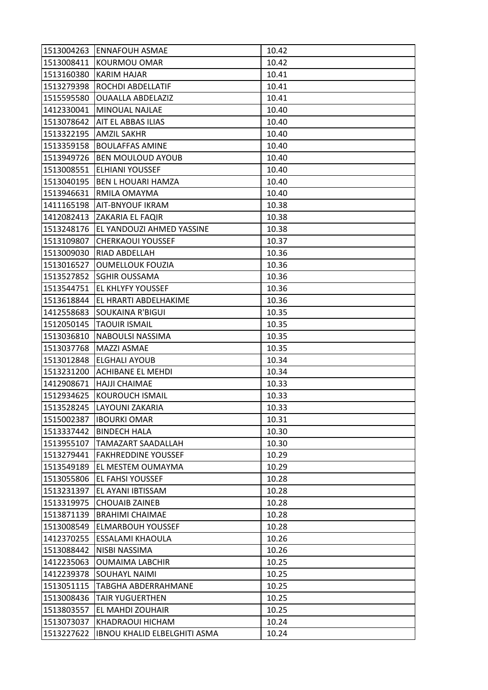| 1513004263 | <b>ENNAFOUH ASMAE</b>        | 10.42 |
|------------|------------------------------|-------|
| 1513008411 | <b>KOURMOU OMAR</b>          | 10.42 |
| 1513160380 | <b>KARIM HAJAR</b>           | 10.41 |
| 1513279398 | ROCHDI ABDELLATIF            | 10.41 |
| 1515595580 | <b>OUAALLA ABDELAZIZ</b>     | 10.41 |
| 1412330041 | MINOUAL NAJLAE               | 10.40 |
| 1513078642 | AIT EL ABBAS ILIAS           | 10.40 |
| 1513322195 | <b>AMZIL SAKHR</b>           | 10.40 |
| 1513359158 | <b>BOULAFFAS AMINE</b>       | 10.40 |
| 1513949726 | <b>BEN MOULOUD AYOUB</b>     | 10.40 |
| 1513008551 | <b>ELHIANI YOUSSEF</b>       | 10.40 |
| 1513040195 | <b>BEN L HOUARI HAMZA</b>    | 10.40 |
| 1513946631 | RMILA OMAYMA                 | 10.40 |
| 1411165198 | AIT-BNYOUF IKRAM             | 10.38 |
| 1412082413 | ZAKARIA EL FAQIR             | 10.38 |
| 1513248176 | EL YANDOUZI AHMED YASSINE    | 10.38 |
| 1513109807 | <b>CHERKAOUI YOUSSEF</b>     | 10.37 |
| 1513009030 | RIAD ABDELLAH                | 10.36 |
| 1513016527 | <b>OUMELLOUK FOUZIA</b>      | 10.36 |
| 1513527852 | SGHIR OUSSAMA                | 10.36 |
| 1513544751 | <b>EL KHLYFY YOUSSEF</b>     | 10.36 |
| 1513618844 | EL HRARTI ABDELHAKIME        | 10.36 |
| 1412558683 | SOUKAINA R'BIGUI             | 10.35 |
| 1512050145 | <b>TAOUIR ISMAIL</b>         | 10.35 |
| 1513036810 | NABOULSI NASSIMA             | 10.35 |
| 1513037768 | <b>MAZZI ASMAE</b>           | 10.35 |
| 1513012848 | <b>ELGHALI AYOUB</b>         | 10.34 |
| 1513231200 | <b>ACHIBANE EL MEHDI</b>     | 10.34 |
| 1412908671 | <b>HAJJI CHAIMAE</b>         | 10.33 |
| 1512934625 | KOUROUCH ISMAIL              | 10.33 |
| 1513528245 | LAYOUNI ZAKARIA              | 10.33 |
| 1515002387 | <b>IBOURKI OMAR</b>          | 10.31 |
| 1513337442 | <b>BINDECH HALA</b>          | 10.30 |
| 1513955107 | <b>TAMAZART SAADALLAH</b>    | 10.30 |
| 1513279441 | <b>FAKHREDDINE YOUSSEF</b>   | 10.29 |
| 1513549189 | EL MESTEM OUMAYMA            | 10.29 |
| 1513055806 | <b>EL FAHSI YOUSSEF</b>      | 10.28 |
| 1513231397 | EL AYANI IBTISSAM            | 10.28 |
| 1513319975 | <b>CHOUAIB ZAINEB</b>        | 10.28 |
| 1513871139 | <b>BRAHIMI CHAIMAE</b>       | 10.28 |
| 1513008549 | <b>ELMARBOUH YOUSSEF</b>     | 10.28 |
| 1412370255 | <b>ESSALAMI KHAOULA</b>      | 10.26 |
| 1513088442 | NISBI NASSIMA                | 10.26 |
| 1412235063 | <b>OUMAIMA LABCHIR</b>       | 10.25 |
| 1412239378 | <b>SOUHAYL NAIMI</b>         | 10.25 |
| 1513051115 | <b>TABGHA ABDERRAHMANE</b>   | 10.25 |
| 1513008436 | <b>TAIR YUGUERTHEN</b>       | 10.25 |
| 1513803557 | EL MAHDI ZOUHAIR             | 10.25 |
| 1513073037 | KHADRAOUI HICHAM             | 10.24 |
| 1513227622 | IBNOU KHALID ELBELGHITI ASMA | 10.24 |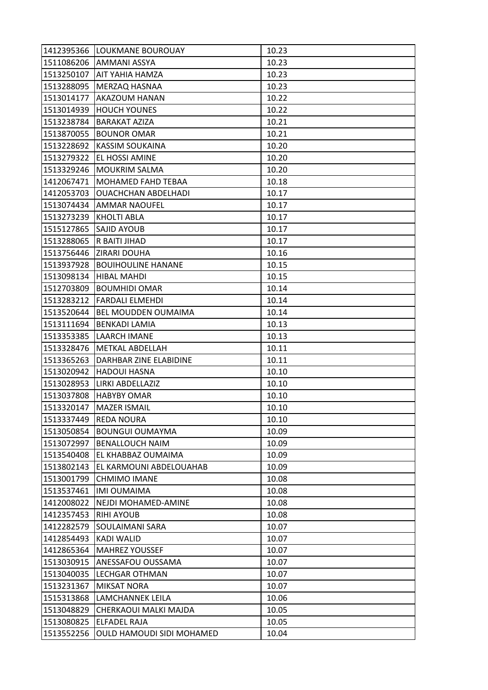| 1412395366 | LOUKMANE BOUROUAY                | 10.23 |
|------------|----------------------------------|-------|
| 1511086206 | <b>AMMANI ASSYA</b>              | 10.23 |
| 1513250107 | <b>AIT YAHIA HAMZA</b>           | 10.23 |
| 1513288095 | MERZAQ HASNAA                    | 10.23 |
| 1513014177 | AKAZOUM HANAN                    | 10.22 |
| 1513014939 | <b>HOUCH YOUNES</b>              | 10.22 |
| 1513238784 | <b>BARAKAT AZIZA</b>             | 10.21 |
| 1513870055 | <b>BOUNOR OMAR</b>               | 10.21 |
| 1513228692 | <b>KASSIM SOUKAINA</b>           | 10.20 |
| 1513279322 | EL HOSSI AMINE                   | 10.20 |
| 1513329246 | <b>MOUKRIM SALMA</b>             | 10.20 |
| 1412067471 | MOHAMED FAHD TEBAA               | 10.18 |
| 1412053703 | <b>OUACHCHAN ABDELHADI</b>       | 10.17 |
| 1513074434 | <b>AMMAR NAOUFEL</b>             | 10.17 |
| 1513273239 | <b>KHOLTI ABLA</b>               | 10.17 |
| 1515127865 | SAJID AYOUB                      | 10.17 |
| 1513288065 | R BAITI JIHAD                    | 10.17 |
| 1513756446 | <b>ZIRARI DOUHA</b>              | 10.16 |
| 1513937928 | <b>BOUIHOULINE HANANE</b>        | 10.15 |
| 1513098134 | <b>HIBAL MAHDI</b>               | 10.15 |
| 1512703809 | <b>BOUMHIDI OMAR</b>             | 10.14 |
| 1513283212 | <b>FARDALI ELMEHDI</b>           | 10.14 |
| 1513520644 | BEL MOUDDEN OUMAIMA              | 10.14 |
| 1513111694 | <b>BENKADI LAMIA</b>             | 10.13 |
| 1513353385 | LAARCH IMANE                     | 10.13 |
| 1513328476 | <b>METKAL ABDELLAH</b>           | 10.11 |
| 1513365263 | DARHBAR ZINE ELABIDINE           | 10.11 |
| 1513020942 | <b>HADOUI HASNA</b>              | 10.10 |
| 1513028953 | LIRKI ABDELLAZIZ                 | 10.10 |
| 1513037808 | <b>HABYBY OMAR</b>               | 10.10 |
| 1513320147 | <b>MAZER ISMAIL</b>              | 10.10 |
| 1513337449 | <b>REDA NOURA</b>                | 10.10 |
| 1513050854 | <b>BOUNGUI OUMAYMA</b>           | 10.09 |
| 1513072997 | <b>BENALLOUCH NAIM</b>           | 10.09 |
| 1513540408 | EL KHABBAZ OUMAIMA               | 10.09 |
| 1513802143 | EL KARMOUNI ABDELOUAHAB          | 10.09 |
| 1513001799 | <b>CHMIMO IMANE</b>              | 10.08 |
| 1513537461 | <b>IMI OUMAIMA</b>               | 10.08 |
| 1412008022 | NEJDI MOHAMED-AMINE              | 10.08 |
| 1412357453 | <b>RIHI AYOUB</b>                | 10.08 |
| 1412282579 | SOULAIMANI SARA                  | 10.07 |
| 1412854493 | <b>KADI WALID</b>                | 10.07 |
| 1412865364 | <b>MAHREZ YOUSSEF</b>            | 10.07 |
| 1513030915 | ANESSAFOU OUSSAMA                | 10.07 |
| 1513040035 | <b>LECHGAR OTHMAN</b>            | 10.07 |
| 1513231367 | <b>MIKSAT NORA</b>               | 10.07 |
| 1515313868 | LAMCHANNEK LEILA                 | 10.06 |
| 1513048829 | CHERKAOUI MALKI MAJDA            | 10.05 |
| 1513080825 | ELFADEL RAJA                     | 10.05 |
| 1513552256 | <b>OULD HAMOUDI SIDI MOHAMED</b> | 10.04 |